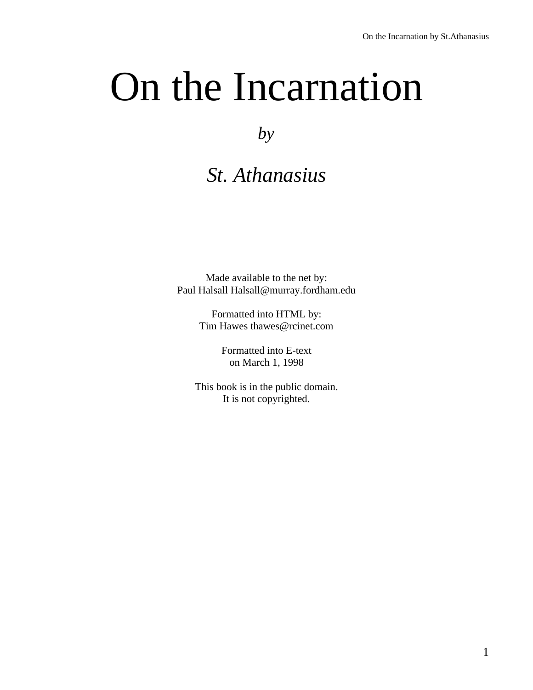# On the Incarnation

*by*

## *St. Athanasius*

Made available to the net by: Paul Halsall Halsall@murray.fordham.edu

> Formatted into HTML by: Tim Hawes thawes@rcinet.com

> > Formatted into E-text on March 1, 1998

This book is in the public domain. It is not copyrighted.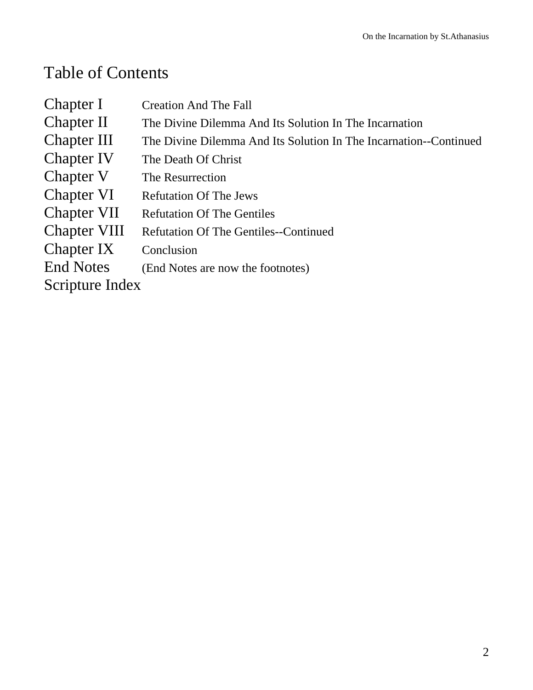## Table of Contents

| Chapter I           | <b>Creation And The Fall</b>                                      |
|---------------------|-------------------------------------------------------------------|
| Chapter II          | The Divine Dilemma And Its Solution In The Incarnation            |
| <b>Chapter III</b>  | The Divine Dilemma And Its Solution In The Incarnation--Continued |
| <b>Chapter IV</b>   | The Death Of Christ                                               |
| Chapter V           | The Resurrection                                                  |
| <b>Chapter VI</b>   | <b>Refutation Of The Jews</b>                                     |
| <b>Chapter VII</b>  | <b>Refutation Of The Gentiles</b>                                 |
| <b>Chapter VIII</b> | <b>Refutation Of The Gentiles--Continued</b>                      |
| Chapter IX          | Conclusion                                                        |
| <b>End Notes</b>    | (End Notes are now the footnotes)                                 |
| Scripture Index     |                                                                   |
|                     |                                                                   |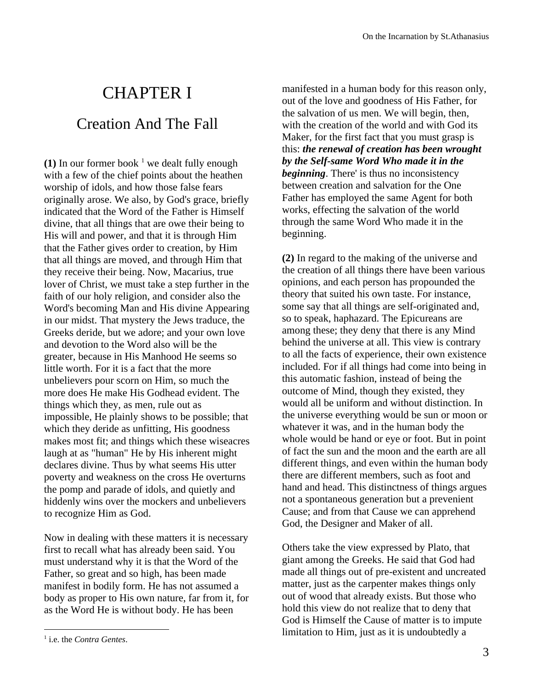## CHAPTER I

#### Creation And The Fall

 $(1)$  In our former book  $\frac{1}{1}$  we dealt fully enough with a few of the chief points about the heathen worship of idols, and how those false fears originally arose. We also, by God's grace, briefly indicated that the Word of the Father is Himself divine, that all things that are owe their being to His will and power, and that it is through Him that the Father gives order to creation, by Him that all things are moved, and through Him that they receive their being. Now, Macarius, true lover of Christ, we must take a step further in the faith of our holy religion, and consider also the Word's becoming Man and His divine Appearing in our midst. That mystery the Jews traduce, the Greeks deride, but we adore; and your own love and devotion to the Word also will be the greater, because in His Manhood He seems so little worth. For it is a fact that the more unbelievers pour scorn on Him, so much the more does He make His Godhead evident. The things which they, as men, rule out as impossible, He plainly shows to be possible; that which they deride as unfitting, His goodness makes most fit; and things which these wiseacres laugh at as "human" He by His inherent might declares divine. Thus by what seems His utter poverty and weakness on the cross He overturns the pomp and parade of idols, and quietly and hiddenly wins over the mockers and unbelievers to recognize Him as God.

Now in dealing with these matters it is necessary first to recall what has already been said. You must understand why it is that the Word of the Father, so great and so high, has been made manifest in bodily form. He has not assumed a body as proper to His own nature, far from it, for as the Word He is without body. He has been

1 i.e. the *Contra Gentes*.

 $\overline{a}$ 

manifested in a human body for this reason only, out of the love and goodness of His Father, for the salvation of us men. We will begin, then, with the creation of the world and with God its Maker, for the first fact that you must grasp is this: *the renewal of creation has been wrought by the Self-same Word Who made it in the beginning*. There' is thus no inconsistency between creation and salvation for the One Father has employed the same Agent for both works, effecting the salvation of the world through the same Word Who made it in the beginning.

**(2)** In regard to the making of the universe and the creation of all things there have been various opinions, and each person has propounded the theory that suited his own taste. For instance, some say that all things are self-originated and, so to speak, haphazard. The Epicureans are among these; they deny that there is any Mind behind the universe at all. This view is contrary to all the facts of experience, their own existence included. For if all things had come into being in this automatic fashion, instead of being the outcome of Mind, though they existed, they would all be uniform and without distinction. In the universe everything would be sun or moon or whatever it was, and in the human body the whole would be hand or eye or foot. But in point of fact the sun and the moon and the earth are all different things, and even within the human body there are different members, such as foot and hand and head. This distinctness of things argues not a spontaneous generation but a prevenient Cause; and from that Cause we can apprehend God, the Designer and Maker of all.

Others take the view expressed by Plato, that giant among the Greeks. He said that God had made all things out of pre-existent and uncreated matter, just as the carpenter makes things only out of wood that already exists. But those who hold this view do not realize that to deny that God is Himself the Cause of matter is to impute limitation to Him, just as it is undoubtedly a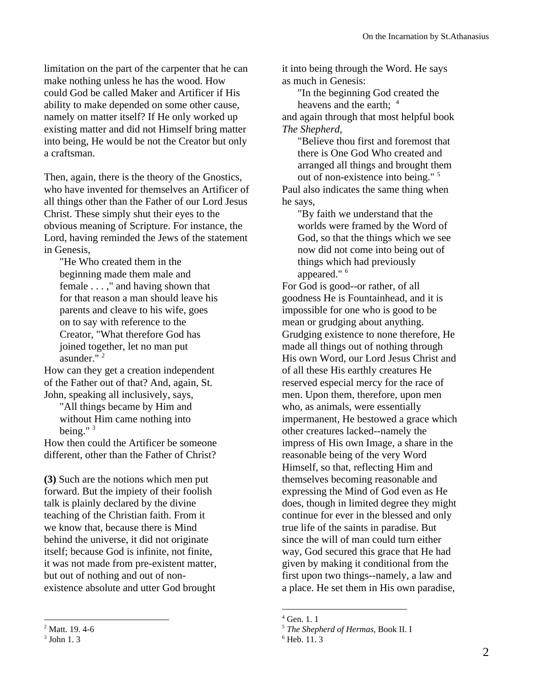limitation on the part of the carpenter that he can make nothing unless he has the wood. How could God be called Maker and Artificer if His ability to make depended on some other cause, namely on matter itself? If He only worked up existing matter and did not Himself bring matter into being, He would be not the Creator but only a craftsman.

Then, again, there is the theory of the Gnostics, who have invented for themselves an Artificer of all things other than the Father of our Lord Jesus Christ. These simply shut their eyes to the obvious meaning of Scripture. For instance, the Lord, having reminded the Jews of the statement in Genesis,

"He Who created them in the beginning made them male and female . . . ," and having shown that for that reason a man should leave his parents and cleave to his wife, goes on to say with reference to the Creator, "What therefore God has joined together, let no man put asunder."<sup>2</sup>

How can they get a creation independent of the Father out of that? And, again, St. John, speaking all inclusively, says,

"All things became by Him and without Him came nothing into being." <sup>3</sup>

How then could the Artificer be someone different, other than the Father of Christ?

**(3)** Such are the notions which men put forward. But the impiety of their foolish talk is plainly declared by the divine teaching of the Christian faith. From it we know that, because there is Mind behind the universe, it did not originate itself; because God is infinite, not finite, it was not made from pre-existent matter, but out of nothing and out of nonexistence absolute and utter God brought

 $\overline{a}$ 

it into being through the Word. He says as much in Genesis:

"In the beginning God created the heavens and the earth;  $4\frac{4}{3}$ and again through that most helpful book *The Shepherd*,

"Believe thou first and foremost that there is One God Who created and arranged all things and brought them out of non-existence into being." <sup>5</sup> Paul also indicates the same thing when he says,

"By faith we understand that the worlds were framed by the Word of God, so that the things which we see now did not come into being out of things which had previously appeared." <sup>6</sup>

For God is good--or rather, of all goodness He is Fountainhead, and it is impossible for one who is good to be mean or grudging about anything. Grudging existence to none therefore, He made all things out of nothing through His own Word, our Lord Jesus Christ and of all these His earthly creatures He reserved especial mercy for the race of men. Upon them, therefore, upon men who, as animals, were essentially impermanent, He bestowed a grace which other creatures lacked--namely the impress of His own Image, a share in the reasonable being of the very Word Himself, so that, reflecting Him and themselves becoming reasonable and expressing the Mind of God even as He does, though in limited degree they might continue for ever in the blessed and only true life of the saints in paradise. But since the will of man could turn either way, God secured this grace that He had given by making it conditional from the first upon two things--namely, a law and a place. He set them in His own paradise,

<sup>&</sup>lt;sup>2</sup> Matt. 19. 4-6

<sup>3</sup> John 1. 3

<sup>4</sup> Gen. 1. 1

<sup>5</sup> *The Shepherd of Hermas*, Book II. I

<sup>6</sup> Heb. 11. 3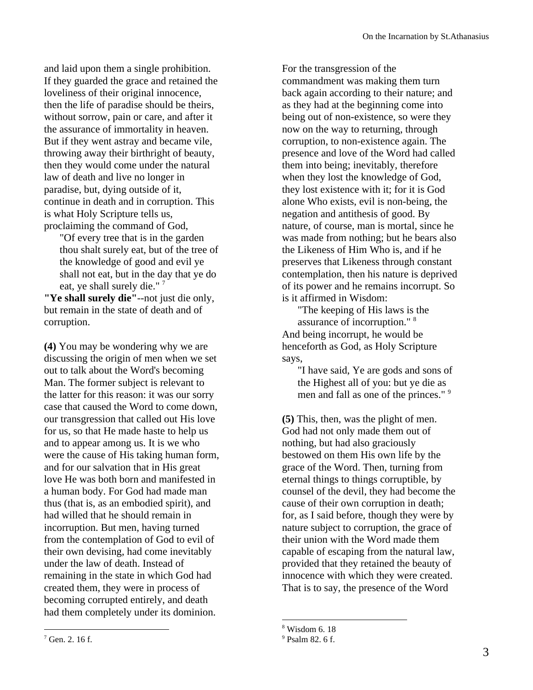and laid upon them a single prohibition. If they guarded the grace and retained the loveliness of their original innocence, then the life of paradise should be theirs, without sorrow, pain or care, and after it the assurance of immortality in heaven. But if they went astray and became vile, throwing away their birthright of beauty, then they would come under the natural law of death and live no longer in paradise, but, dying outside of it, continue in death and in corruption. This is what Holy Scripture tells us, proclaiming the command of God,

"Of every tree that is in the garden thou shalt surely eat, but of the tree of the knowledge of good and evil ye shall not eat, but in the day that ye do eat, ye shall surely die."<sup>7</sup>

**"Ye shall surely die"**--not just die only, but remain in the state of death and of corruption.

**(4)** You may be wondering why we are discussing the origin of men when we set out to talk about the Word's becoming Man. The former subject is relevant to the latter for this reason: it was our sorry case that caused the Word to come down, our transgression that called out His love for us, so that He made haste to help us and to appear among us. It is we who were the cause of His taking human form, and for our salvation that in His great love He was both born and manifested in a human body. For God had made man thus (that is, as an embodied spirit), and had willed that he should remain in incorruption. But men, having turned from the contemplation of God to evil of their own devising, had come inevitably under the law of death. Instead of remaining in the state in which God had created them, they were in process of becoming corrupted entirely, and death had them completely under its dominion.

For the transgression of the commandment was making them turn back again according to their nature; and as they had at the beginning come into being out of non-existence, so were they now on the way to returning, through corruption, to non-existence again. The presence and love of the Word had called them into being; inevitably, therefore when they lost the knowledge of God, they lost existence with it; for it is God alone Who exists, evil is non-being, the negation and antithesis of good. By nature, of course, man is mortal, since he was made from nothing; but he bears also the Likeness of Him Who is, and if he preserves that Likeness through constant contemplation, then his nature is deprived of its power and he remains incorrupt. So is it affirmed in Wisdom:

"The keeping of His laws is the assurance of incorruption." <sup>8</sup> And being incorrupt, he would be henceforth as God, as Holy Scripture says,

"I have said, Ye are gods and sons of the Highest all of you: but ye die as men and fall as one of the princes." <sup>9</sup>

**(5)** This, then, was the plight of men. God had not only made them out of nothing, but had also graciously bestowed on them His own life by the grace of the Word. Then, turning from eternal things to things corruptible, by counsel of the devil, they had become the cause of their own corruption in death; for, as I said before, though they were by nature subject to corruption, the grace of their union with the Word made them capable of escaping from the natural law, provided that they retained the beauty of innocence with which they were created. That is to say, the presence of the Word

l

 $\overline{a}$ 

<sup>8</sup> Wisdom 6. 18

<sup>9</sup> Psalm 82. 6 f.

 $7$  Gen. 2. 16 f.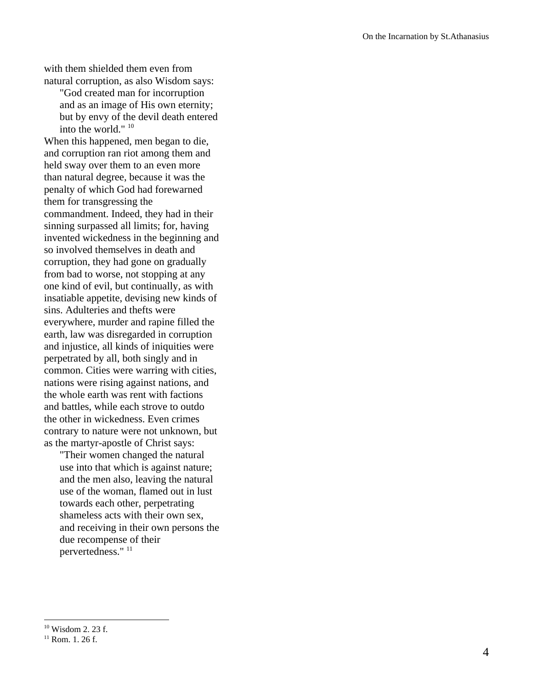with them shielded them even from natural corruption, as also Wisdom says:

"God created man for incorruption and as an image of His own eternity; but by envy of the devil death entered into the world." <sup>10</sup>

When this happened, men began to die, and corruption ran riot among them and held sway over them to an even more than natural degree, because it was the penalty of which God had forewarned them for transgressing the commandment. Indeed, they had in their sinning surpassed all limits; for, having invented wickedness in the beginning and so involved themselves in death and corruption, they had gone on gradually from bad to worse, not stopping at any one kind of evil, but continually, as with insatiable appetite, devising new kinds of sins. Adulteries and thefts were everywhere, murder and rapine filled the earth, law was disregarded in corruption and injustice, all kinds of iniquities were perpetrated by all, both singly and in common. Cities were warring with cities, nations were rising against nations, and the whole earth was rent with factions and battles, while each strove to outdo the other in wickedness. Even crimes contrary to nature were not unknown, but as the martyr-apostle of Christ says:

"Their women changed the natural use into that which is against nature; and the men also, leaving the natural use of the woman, flamed out in lust towards each other, perpetrating shameless acts with their own sex, and receiving in their own persons the due recompense of their pervertedness." <sup>11</sup>

 $\overline{a}$ 

<sup>10</sup> Wisdom 2. 23 f.

 $11$  Rom. 1. 26 f.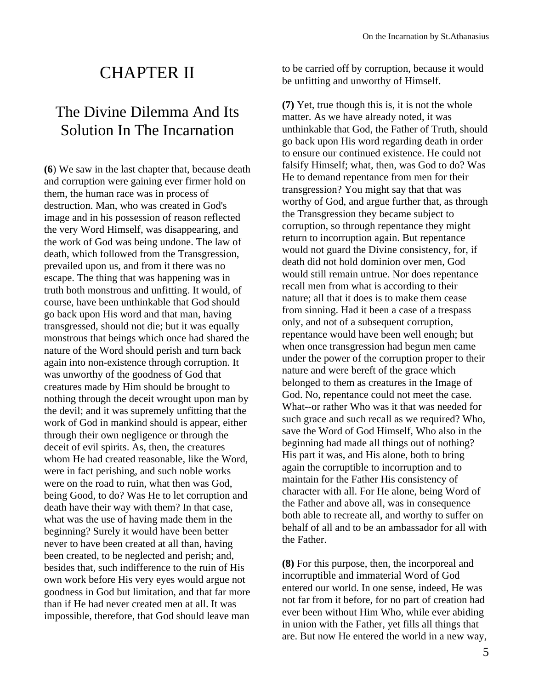## CHAPTER II

## The Divine Dilemma And Its Solution In The Incarnation

**(6**) We saw in the last chapter that, because death and corruption were gaining ever firmer hold on them, the human race was in process of destruction. Man, who was created in God's image and in his possession of reason reflected the very Word Himself, was disappearing, and the work of God was being undone. The law of death, which followed from the Transgression, prevailed upon us, and from it there was no escape. The thing that was happening was in truth both monstrous and unfitting. It would, of course, have been unthinkable that God should go back upon His word and that man, having transgressed, should not die; but it was equally monstrous that beings which once had shared the nature of the Word should perish and turn back again into non-existence through corruption. It was unworthy of the goodness of God that creatures made by Him should be brought to nothing through the deceit wrought upon man by the devil; and it was supremely unfitting that the work of God in mankind should is appear, either through their own negligence or through the deceit of evil spirits. As, then, the creatures whom He had created reasonable, like the Word, were in fact perishing, and such noble works were on the road to ruin, what then was God, being Good, to do? Was He to let corruption and death have their way with them? In that case, what was the use of having made them in the beginning? Surely it would have been better never to have been created at all than, having been created, to be neglected and perish; and, besides that, such indifference to the ruin of His own work before His very eyes would argue not goodness in God but limitation, and that far more than if He had never created men at all. It was impossible, therefore, that God should leave man to be carried off by corruption, because it would be unfitting and unworthy of Himself.

**(7)** Yet, true though this is, it is not the whole matter. As we have already noted, it was unthinkable that God, the Father of Truth, should go back upon His word regarding death in order to ensure our continued existence. He could not falsify Himself; what, then, was God to do? Was He to demand repentance from men for their transgression? You might say that that was worthy of God, and argue further that, as through the Transgression they became subject to corruption, so through repentance they might return to incorruption again. But repentance would not guard the Divine consistency, for, if death did not hold dominion over men, God would still remain untrue. Nor does repentance recall men from what is according to their nature; all that it does is to make them cease from sinning. Had it been a case of a trespass only, and not of a subsequent corruption, repentance would have been well enough; but when once transgression had begun men came under the power of the corruption proper to their nature and were bereft of the grace which belonged to them as creatures in the Image of God. No, repentance could not meet the case. What--or rather Who was it that was needed for such grace and such recall as we required? Who, save the Word of God Himself, Who also in the beginning had made all things out of nothing? His part it was, and His alone, both to bring again the corruptible to incorruption and to maintain for the Father His consistency of character with all. For He alone, being Word of the Father and above all, was in consequence both able to recreate all, and worthy to suffer on behalf of all and to be an ambassador for all with the Father.

**(8)** For this purpose, then, the incorporeal and incorruptible and immaterial Word of God entered our world. In one sense, indeed, He was not far from it before, for no part of creation had ever been without Him Who, while ever abiding in union with the Father, yet fills all things that are. But now He entered the world in a new way,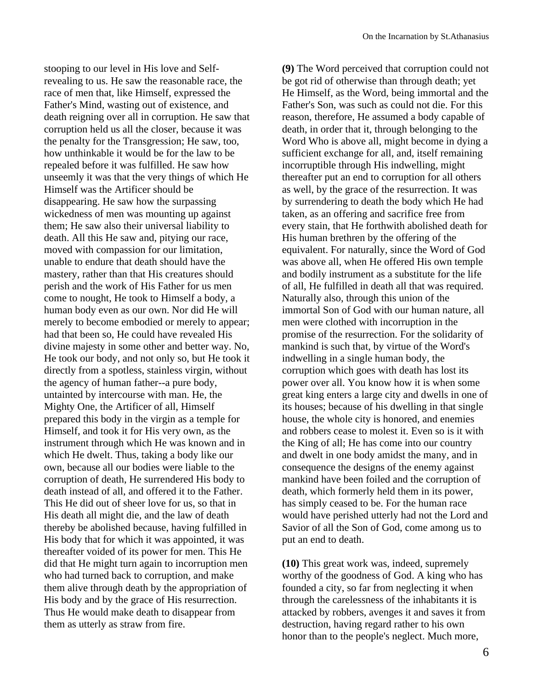stooping to our level in His love and Selfrevealing to us. He saw the reasonable race, the race of men that, like Himself, expressed the Father's Mind, wasting out of existence, and death reigning over all in corruption. He saw that corruption held us all the closer, because it was the penalty for the Transgression; He saw, too, how unthinkable it would be for the law to be repealed before it was fulfilled. He saw how unseemly it was that the very things of which He Himself was the Artificer should be disappearing. He saw how the surpassing wickedness of men was mounting up against them; He saw also their universal liability to death. All this He saw and, pitying our race, moved with compassion for our limitation, unable to endure that death should have the mastery, rather than that His creatures should perish and the work of His Father for us men come to nought, He took to Himself a body, a human body even as our own. Nor did He will merely to become embodied or merely to appear; had that been so, He could have revealed His divine majesty in some other and better way. No, He took our body, and not only so, but He took it directly from a spotless, stainless virgin, without the agency of human father--a pure body, untainted by intercourse with man. He, the Mighty One, the Artificer of all, Himself prepared this body in the virgin as a temple for Himself, and took it for His very own, as the instrument through which He was known and in which He dwelt. Thus, taking a body like our own, because all our bodies were liable to the corruption of death, He surrendered His body to death instead of all, and offered it to the Father. This He did out of sheer love for us, so that in His death all might die, and the law of death thereby be abolished because, having fulfilled in His body that for which it was appointed, it was thereafter voided of its power for men. This He did that He might turn again to incorruption men who had turned back to corruption, and make them alive through death by the appropriation of His body and by the grace of His resurrection. Thus He would make death to disappear from them as utterly as straw from fire.

**(9)** The Word perceived that corruption could not be got rid of otherwise than through death; yet He Himself, as the Word, being immortal and the Father's Son, was such as could not die. For this reason, therefore, He assumed a body capable of death, in order that it, through belonging to the Word Who is above all, might become in dying a sufficient exchange for all, and, itself remaining incorruptible through His indwelling, might thereafter put an end to corruption for all others as well, by the grace of the resurrection. It was by surrendering to death the body which He had taken, as an offering and sacrifice free from every stain, that He forthwith abolished death for His human brethren by the offering of the equivalent. For naturally, since the Word of God was above all, when He offered His own temple and bodily instrument as a substitute for the life of all, He fulfilled in death all that was required. Naturally also, through this union of the immortal Son of God with our human nature, all men were clothed with incorruption in the promise of the resurrection. For the solidarity of mankind is such that, by virtue of the Word's indwelling in a single human body, the corruption which goes with death has lost its power over all. You know how it is when some great king enters a large city and dwells in one of its houses; because of his dwelling in that single house, the whole city is honored, and enemies and robbers cease to molest it. Even so is it with the King of all; He has come into our country and dwelt in one body amidst the many, and in consequence the designs of the enemy against mankind have been foiled and the corruption of death, which formerly held them in its power, has simply ceased to be. For the human race would have perished utterly had not the Lord and Savior of all the Son of God, come among us to put an end to death.

**(10)** This great work was, indeed, supremely worthy of the goodness of God. A king who has founded a city, so far from neglecting it when through the carelessness of the inhabitants it is attacked by robbers, avenges it and saves it from destruction, having regard rather to his own honor than to the people's neglect. Much more,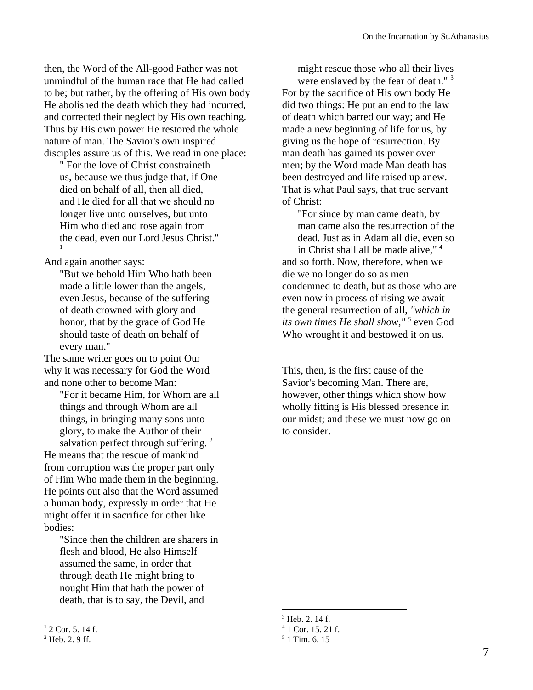then, the Word of the All-good Father was not unmindful of the human race that He had called to be; but rather, by the offering of His own body He abolished the death which they had incurred, and corrected their neglect by His own teaching. Thus by His own power He restored the whole nature of man. The Savior's own inspired disciples assure us of this. We read in one place:

" For the love of Christ constraineth us, because we thus judge that, if One died on behalf of all, then all died, and He died for all that we should no longer live unto ourselves, but unto Him who died and rose again from the dead, even our Lord Jesus Christ." 1

And again another says:

"But we behold Him Who hath been made a little lower than the angels, even Jesus, because of the suffering of death crowned with glory and honor, that by the grace of God He should taste of death on behalf of every man."

The same writer goes on to point Our why it was necessary for God the Word and none other to become Man:

"For it became Him, for Whom are all things and through Whom are all things, in bringing many sons unto glory, to make the Author of their salvation perfect through suffering.<sup>2</sup>

He means that the rescue of mankind from corruption was the proper part only of Him Who made them in the beginning. He points out also that the Word assumed a human body, expressly in order that He might offer it in sacrifice for other like bodies:

"Since then the children are sharers in flesh and blood, He also Himself assumed the same, in order that through death He might bring to nought Him that hath the power of death, that is to say, the Devil, and

might rescue those who all their lives were enslaved by the fear of death."<sup>3</sup> For by the sacrifice of His own body He did two things: He put an end to the law of death which barred our way; and He made a new beginning of life for us, by giving us the hope of resurrection. By man death has gained its power over men; by the Word made Man death has been destroyed and life raised up anew. That is what Paul says, that true servant of Christ:

"For since by man came death, by man came also the resurrection of the dead. Just as in Adam all die, even so in Christ shall all be made alive,"<sup>4</sup>

and so forth. Now, therefore, when we die we no longer do so as men condemned to death, but as those who are even now in process of rising we await the general resurrection of all, *"which in its own times He shall show,"* <sup>5</sup> even God Who wrought it and bestowed it on us.

This, then, is the first cause of the Savior's becoming Man. There are, however, other things which show how wholly fitting is His blessed presence in our midst; and these we must now go on to consider.

 $\overline{a}$  $1$  2 Cor. 5. 14 f.

 $<sup>2</sup>$  Heb. 2. 9 ff.</sup>

 $3$  Heb. 2. 14 f.

<sup>4</sup> 1 Cor. 15. 21 f.

<sup>5</sup> 1 Tim. 6. 15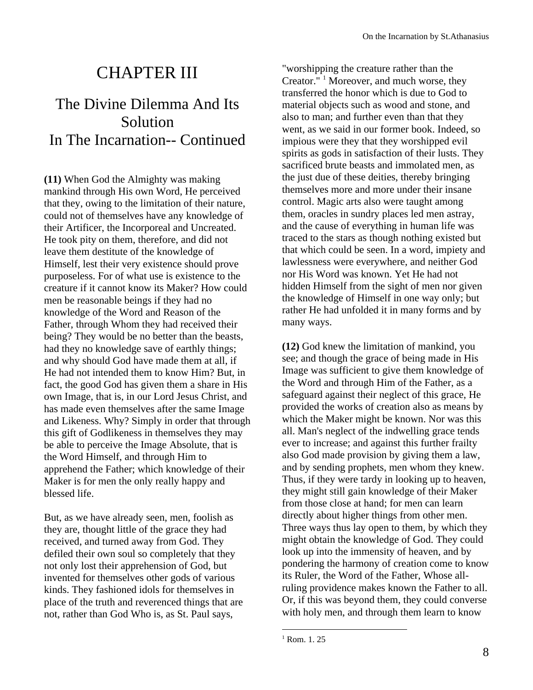## CHAPTER III

## The Divine Dilemma And Its Solution In The Incarnation-- Continued

**(11)** When God the Almighty was making mankind through His own Word, He perceived that they, owing to the limitation of their nature, could not of themselves have any knowledge of their Artificer, the Incorporeal and Uncreated. He took pity on them, therefore, and did not leave them destitute of the knowledge of Himself, lest their very existence should prove purposeless. For of what use is existence to the creature if it cannot know its Maker? How could men be reasonable beings if they had no knowledge of the Word and Reason of the Father, through Whom they had received their being? They would be no better than the beasts, had they no knowledge save of earthly things; and why should God have made them at all, if He had not intended them to know Him? But, in fact, the good God has given them a share in His own Image, that is, in our Lord Jesus Christ, and has made even themselves after the same Image and Likeness. Why? Simply in order that through this gift of Godlikeness in themselves they may be able to perceive the Image Absolute, that is the Word Himself, and through Him to apprehend the Father; which knowledge of their Maker is for men the only really happy and blessed life.

But, as we have already seen, men, foolish as they are, thought little of the grace they had received, and turned away from God. They defiled their own soul so completely that they not only lost their apprehension of God, but invented for themselves other gods of various kinds. They fashioned idols for themselves in place of the truth and reverenced things that are not, rather than God Who is, as St. Paul says,

"worshipping the creature rather than the Creator."<sup>1</sup> Moreover, and much worse, they transferred the honor which is due to God to material objects such as wood and stone, and also to man; and further even than that they went, as we said in our former book. Indeed, so impious were they that they worshipped evil spirits as gods in satisfaction of their lusts. They sacrificed brute beasts and immolated men, as the just due of these deities, thereby bringing themselves more and more under their insane control. Magic arts also were taught among them, oracles in sundry places led men astray, and the cause of everything in human life was traced to the stars as though nothing existed but that which could be seen. In a word, impiety and lawlessness were everywhere, and neither God nor His Word was known. Yet He had not hidden Himself from the sight of men nor given the knowledge of Himself in one way only; but rather He had unfolded it in many forms and by many ways.

**(12)** God knew the limitation of mankind, you see; and though the grace of being made in His Image was sufficient to give them knowledge of the Word and through Him of the Father, as a safeguard against their neglect of this grace, He provided the works of creation also as means by which the Maker might be known. Nor was this all. Man's neglect of the indwelling grace tends ever to increase; and against this further frailty also God made provision by giving them a law, and by sending prophets, men whom they knew. Thus, if they were tardy in looking up to heaven, they might still gain knowledge of their Maker from those close at hand; for men can learn directly about higher things from other men. Three ways thus lay open to them, by which they might obtain the knowledge of God. They could look up into the immensity of heaven, and by pondering the harmony of creation come to know its Ruler, the Word of the Father, Whose allruling providence makes known the Father to all. Or, if this was beyond them, they could converse with holy men, and through them learn to know

l <sup>1</sup> Rom. 1. 25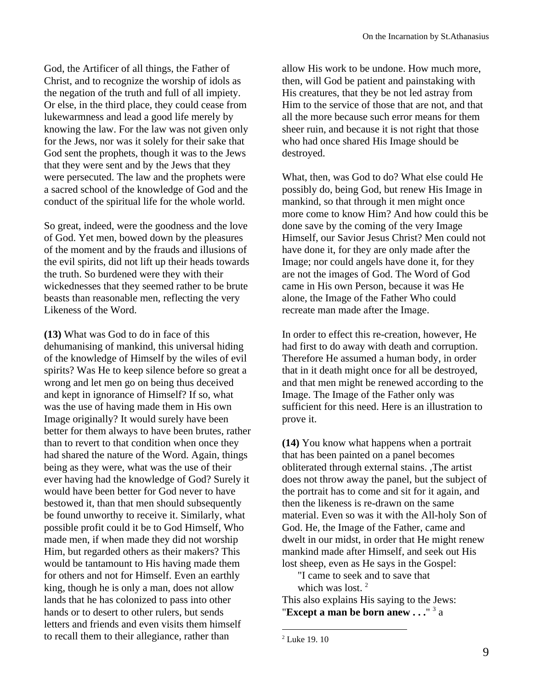God, the Artificer of all things, the Father of Christ, and to recognize the worship of idols as the negation of the truth and full of all impiety. Or else, in the third place, they could cease from lukewarmness and lead a good life merely by knowing the law. For the law was not given only for the Jews, nor was it solely for their sake that God sent the prophets, though it was to the Jews that they were sent and by the Jews that they were persecuted. The law and the prophets were a sacred school of the knowledge of God and the conduct of the spiritual life for the whole world.

So great, indeed, were the goodness and the love of God. Yet men, bowed down by the pleasures of the moment and by the frauds and illusions of the evil spirits, did not lift up their heads towards the truth. So burdened were they with their wickednesses that they seemed rather to be brute beasts than reasonable men, reflecting the very Likeness of the Word.

**(13)** What was God to do in face of this dehumanising of mankind, this universal hiding of the knowledge of Himself by the wiles of evil spirits? Was He to keep silence before so great a wrong and let men go on being thus deceived and kept in ignorance of Himself? If so, what was the use of having made them in His own Image originally? It would surely have been better for them always to have been brutes, rather than to revert to that condition when once they had shared the nature of the Word. Again, things being as they were, what was the use of their ever having had the knowledge of God? Surely it would have been better for God never to have bestowed it, than that men should subsequently be found unworthy to receive it. Similarly, what possible profit could it be to God Himself, Who made men, if when made they did not worship Him, but regarded others as their makers? This would be tantamount to His having made them for others and not for Himself. Even an earthly king, though he is only a man, does not allow lands that he has colonized to pass into other hands or to desert to other rulers, but sends letters and friends and even visits them himself to recall them to their allegiance, rather than

allow His work to be undone. How much more, then, will God be patient and painstaking with His creatures, that they be not led astray from Him to the service of those that are not, and that all the more because such error means for them sheer ruin, and because it is not right that those who had once shared His Image should be destroyed.

What, then, was God to do? What else could He possibly do, being God, but renew His Image in mankind, so that through it men might once more come to know Him? And how could this be done save by the coming of the very Image Himself, our Savior Jesus Christ? Men could not have done it, for they are only made after the Image; nor could angels have done it, for they are not the images of God. The Word of God came in His own Person, because it was He alone, the Image of the Father Who could recreate man made after the Image.

In order to effect this re-creation, however, He had first to do away with death and corruption. Therefore He assumed a human body, in order that in it death might once for all be destroyed, and that men might be renewed according to the Image. The Image of the Father only was sufficient for this need. Here is an illustration to prove it.

**(14)** You know what happens when a portrait that has been painted on a panel becomes obliterated through external stains. ,The artist does not throw away the panel, but the subject of the portrait has to come and sit for it again, and then the likeness is re-drawn on the same material. Even so was it with the All-holy Son of God. He, the Image of the Father, came and dwelt in our midst, in order that He might renew mankind made after Himself, and seek out His lost sheep, even as He says in the Gospel:

"I came to seek and to save that which was lost.<sup>2</sup>

This also explains His saying to the Jews: "**Except a man be born anew ...**"<sup>3</sup> a

<sup>&</sup>lt;sup>2</sup> Luke 19. 10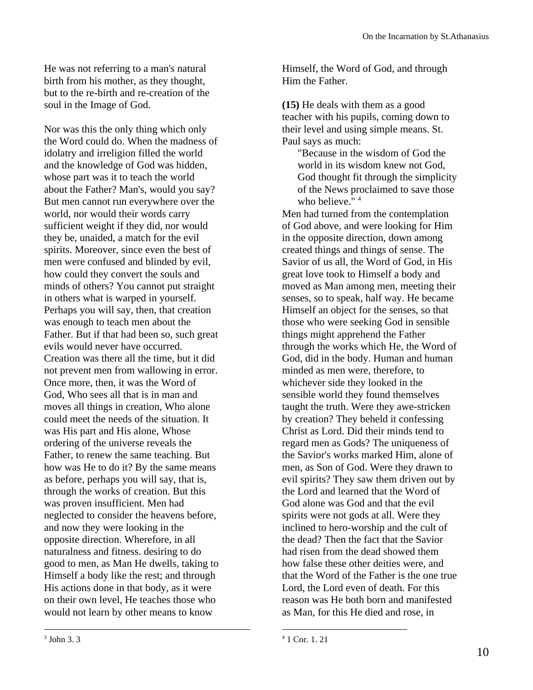He was not referring to a man's natural birth from his mother, as they thought, but to the re-birth and re-creation of the soul in the Image of God.

Nor was this the only thing which only the Word could do. When the madness of idolatry and irreligion filled the world and the knowledge of God was hidden, whose part was it to teach the world about the Father? Man's, would you say? But men cannot run everywhere over the world, nor would their words carry sufficient weight if they did, nor would they be, unaided, a match for the evil spirits. Moreover, since even the best of men were confused and blinded by evil, how could they convert the souls and minds of others? You cannot put straight in others what is warped in yourself. Perhaps you will say, then, that creation was enough to teach men about the Father. But if that had been so, such great evils would never have occurred. Creation was there all the time, but it did not prevent men from wallowing in error. Once more, then, it was the Word of God, Who sees all that is in man and moves all things in creation, Who alone could meet the needs of the situation. It was His part and His alone, Whose ordering of the universe reveals the Father, to renew the same teaching. But how was He to do it? By the same means as before, perhaps you will say, that is, through the works of creation. But this was proven insufficient. Men had neglected to consider the heavens before, and now they were looking in the opposite direction. Wherefore, in all naturalness and fitness. desiring to do good to men, as Man He dwells, taking to Himself a body like the rest; and through His actions done in that body, as it were on their own level, He teaches those who would not learn by other means to know

Himself, the Word of God, and through Him the Father.

**(15)** He deals with them as a good teacher with his pupils, coming down to their level and using simple means. St. Paul says as much:

"Because in the wisdom of God the world in its wisdom knew not God, God thought fit through the simplicity of the News proclaimed to save those who believe."<sup>4</sup>

Men had turned from the contemplation of God above, and were looking for Him in the opposite direction, down among created things and things of sense. The Savior of us all, the Word of God, in His great love took to Himself a body and moved as Man among men, meeting their senses, so to speak, half way. He became Himself an object for the senses, so that those who were seeking God in sensible things might apprehend the Father through the works which He, the Word of God, did in the body. Human and human minded as men were, therefore, to whichever side they looked in the sensible world they found themselves taught the truth. Were they awe-stricken by creation? They beheld it confessing Christ as Lord. Did their minds tend to regard men as Gods? The uniqueness of the Savior's works marked Him, alone of men, as Son of God. Were they drawn to evil spirits? They saw them driven out by the Lord and learned that the Word of God alone was God and that the evil spirits were not gods at all. Were they inclined to hero-worship and the cult of the dead? Then the fact that the Savior had risen from the dead showed them how false these other deities were, and that the Word of the Father is the one true Lord, the Lord even of death. For this reason was He both born and manifested as Man, for this He died and rose, in

<sup>4</sup> 1 Cor. 1. 21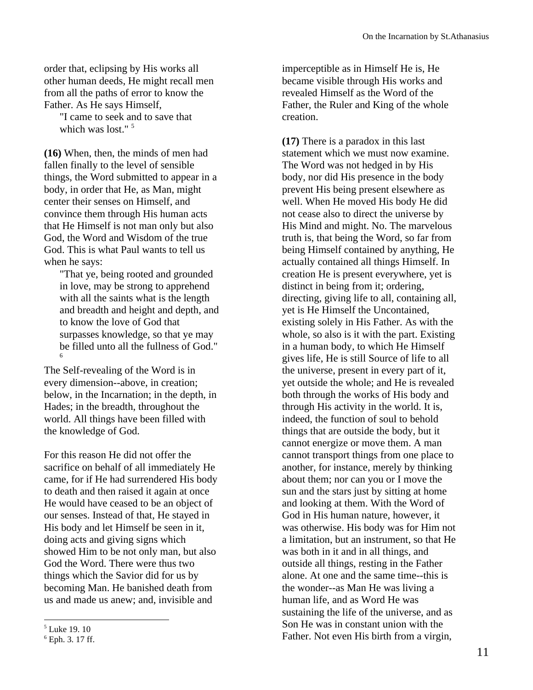order that, eclipsing by His works all other human deeds, He might recall men from all the paths of error to know the Father. As He says Himself,

"I came to seek and to save that which was lost."<sup>5</sup>

**(16)** When, then, the minds of men had fallen finally to the level of sensible things, the Word submitted to appear in a body, in order that He, as Man, might center their senses on Himself, and convince them through His human acts that He Himself is not man only but also God, the Word and Wisdom of the true God. This is what Paul wants to tell us when he says:

"That ye, being rooted and grounded in love, may be strong to apprehend with all the saints what is the length and breadth and height and depth, and to know the love of God that surpasses knowledge, so that ye may be filled unto all the fullness of God." 6

The Self-revealing of the Word is in every dimension--above, in creation; below, in the Incarnation; in the depth, in Hades; in the breadth, throughout the world. All things have been filled with the knowledge of God.

For this reason He did not offer the sacrifice on behalf of all immediately He came, for if He had surrendered His body to death and then raised it again at once He would have ceased to be an object of our senses. Instead of that, He stayed in His body and let Himself be seen in it, doing acts and giving signs which showed Him to be not only man, but also God the Word. There were thus two things which the Savior did for us by becoming Man. He banished death from us and made us anew; and, invisible and

imperceptible as in Himself He is, He became visible through His works and revealed Himself as the Word of the Father, the Ruler and King of the whole creation.

**(17)** There is a paradox in this last statement which we must now examine. The Word was not hedged in by His body, nor did His presence in the body prevent His being present elsewhere as well. When He moved His body He did not cease also to direct the universe by His Mind and might. No. The marvelous truth is, that being the Word, so far from being Himself contained by anything, He actually contained all things Himself. In creation He is present everywhere, yet is distinct in being from it; ordering, directing, giving life to all, containing all, yet is He Himself the Uncontained, existing solely in His Father. As with the whole, so also is it with the part. Existing in a human body, to which He Himself gives life, He is still Source of life to all the universe, present in every part of it, yet outside the whole; and He is revealed both through the works of His body and through His activity in the world. It is, indeed, the function of soul to behold things that are outside the body, but it cannot energize or move them. A man cannot transport things from one place to another, for instance, merely by thinking about them; nor can you or I move the sun and the stars just by sitting at home and looking at them. With the Word of God in His human nature, however, it was otherwise. His body was for Him not a limitation, but an instrument, so that He was both in it and in all things, and outside all things, resting in the Father alone. At one and the same time--this is the wonder--as Man He was living a human life, and as Word He was sustaining the life of the universe, and as Son He was in constant union with the Father. Not even His birth from a virgin,

 $\overline{a}$ 5 Luke 19. 10

 $6$  Eph. 3. 17 ff.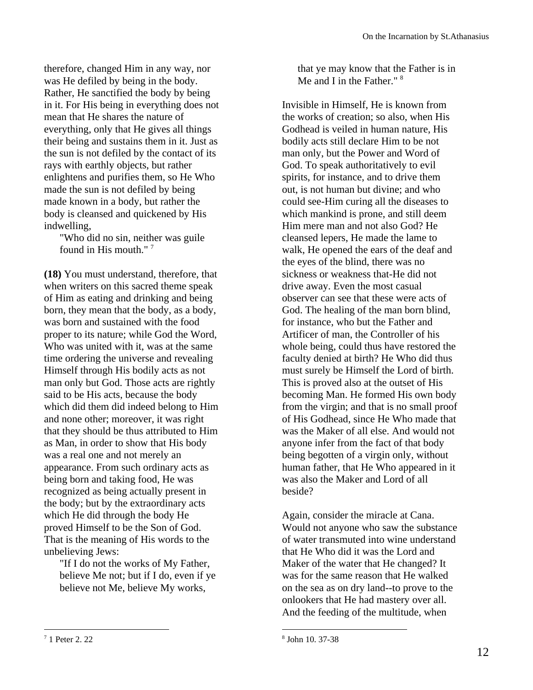therefore, changed Him in any way, nor was He defiled by being in the body. Rather, He sanctified the body by being in it. For His being in everything does not mean that He shares the nature of everything, only that He gives all things their being and sustains them in it. Just as the sun is not defiled by the contact of its rays with earthly objects, but rather enlightens and purifies them, so He Who made the sun is not defiled by being made known in a body, but rather the body is cleansed and quickened by His indwelling,

"Who did no sin, neither was guile found in His mouth." <sup>7</sup>

**(18)** You must understand, therefore, that when writers on this sacred theme speak of Him as eating and drinking and being born, they mean that the body, as a body, was born and sustained with the food proper to its nature; while God the Word, Who was united with it, was at the same time ordering the universe and revealing Himself through His bodily acts as not man only but God. Those acts are rightly said to be His acts, because the body which did them did indeed belong to Him and none other; moreover, it was right that they should be thus attributed to Him as Man, in order to show that His body was a real one and not merely an appearance. From such ordinary acts as being born and taking food, He was recognized as being actually present in the body; but by the extraordinary acts which He did through the body He proved Himself to be the Son of God. That is the meaning of His words to the unbelieving Jews:

"If I do not the works of My Father, believe Me not; but if I do, even if ye believe not Me, believe My works,

that ye may know that the Father is in Me and I in the Father."<sup>8</sup>

Invisible in Himself, He is known from the works of creation; so also, when His Godhead is veiled in human nature, His bodily acts still declare Him to be not man only, but the Power and Word of God. To speak authoritatively to evil spirits, for instance, and to drive them out, is not human but divine; and who could see-Him curing all the diseases to which mankind is prone, and still deem Him mere man and not also God? He cleansed lepers, He made the lame to walk, He opened the ears of the deaf and the eyes of the blind, there was no sickness or weakness that-He did not drive away. Even the most casual observer can see that these were acts of God. The healing of the man born blind, for instance, who but the Father and Artificer of man, the Controller of his whole being, could thus have restored the faculty denied at birth? He Who did thus must surely be Himself the Lord of birth. This is proved also at the outset of His becoming Man. He formed His own body from the virgin; and that is no small proof of His Godhead, since He Who made that was the Maker of all else. And would not anyone infer from the fact of that body being begotten of a virgin only, without human father, that He Who appeared in it was also the Maker and Lord of all beside?

Again, consider the miracle at Cana. Would not anyone who saw the substance of water transmuted into wine understand that He Who did it was the Lord and Maker of the water that He changed? It was for the same reason that He walked on the sea as on dry land--to prove to the onlookers that He had mastery over all. And the feeding of the multitude, when

 $\overline{a}$ 

<sup>8</sup> John 10. 37-38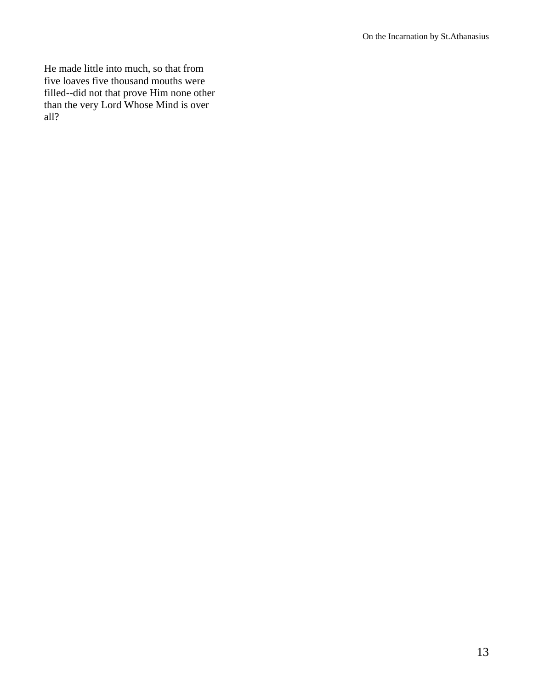He made little into much, so that from five loaves five thousand mouths were filled--did not that prove Him none other than the very Lord Whose Mind is over all?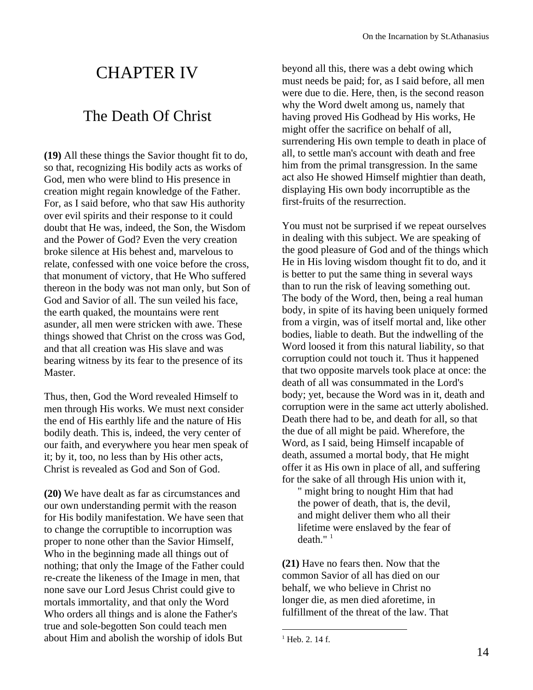## CHAPTER IV

## The Death Of Christ

**(19)** All these things the Savior thought fit to do, so that, recognizing His bodily acts as works of God, men who were blind to His presence in creation might regain knowledge of the Father. For, as I said before, who that saw His authority over evil spirits and their response to it could doubt that He was, indeed, the Son, the Wisdom and the Power of God? Even the very creation broke silence at His behest and, marvelous to relate, confessed with one voice before the cross, that monument of victory, that He Who suffered thereon in the body was not man only, but Son of God and Savior of all. The sun veiled his face, the earth quaked, the mountains were rent asunder, all men were stricken with awe. These things showed that Christ on the cross was God, and that all creation was His slave and was bearing witness by its fear to the presence of its Master.

Thus, then, God the Word revealed Himself to men through His works. We must next consider the end of His earthly life and the nature of His bodily death. This is, indeed, the very center of our faith, and everywhere you hear men speak of it; by it, too, no less than by His other acts, Christ is revealed as God and Son of God.

**(20)** We have dealt as far as circumstances and our own understanding permit with the reason for His bodily manifestation. We have seen that to change the corruptible to incorruption was proper to none other than the Savior Himself, Who in the beginning made all things out of nothing; that only the Image of the Father could re-create the likeness of the Image in men, that none save our Lord Jesus Christ could give to mortals immortality, and that only the Word Who orders all things and is alone the Father's true and sole-begotten Son could teach men about Him and abolish the worship of idols But

beyond all this, there was a debt owing which must needs be paid; for, as I said before, all men were due to die. Here, then, is the second reason why the Word dwelt among us, namely that having proved His Godhead by His works, He might offer the sacrifice on behalf of all, surrendering His own temple to death in place of all, to settle man's account with death and free him from the primal transgression. In the same act also He showed Himself mightier than death, displaying His own body incorruptible as the first-fruits of the resurrection.

You must not be surprised if we repeat ourselves in dealing with this subject. We are speaking of the good pleasure of God and of the things which He in His loving wisdom thought fit to do, and it is better to put the same thing in several ways than to run the risk of leaving something out. The body of the Word, then, being a real human body, in spite of its having been uniquely formed from a virgin, was of itself mortal and, like other bodies, liable to death. But the indwelling of the Word loosed it from this natural liability, so that corruption could not touch it. Thus it happened that two opposite marvels took place at once: the death of all was consummated in the Lord's body; yet, because the Word was in it, death and corruption were in the same act utterly abolished. Death there had to be, and death for all, so that the due of all might be paid. Wherefore, the Word, as I said, being Himself incapable of death, assumed a mortal body, that He might offer it as His own in place of all, and suffering for the sake of all through His union with it,

" might bring to nought Him that had the power of death, that is, the devil, and might deliver them who all their lifetime were enslaved by the fear of death." $<sup>1</sup>$ </sup>

**(21)** Have no fears then. Now that the common Savior of all has died on our behalf, we who believe in Christ no longer die, as men died aforetime, in fulfillment of the threat of the law. That

 $<sup>1</sup>$  Heb. 2. 14 f.</sup>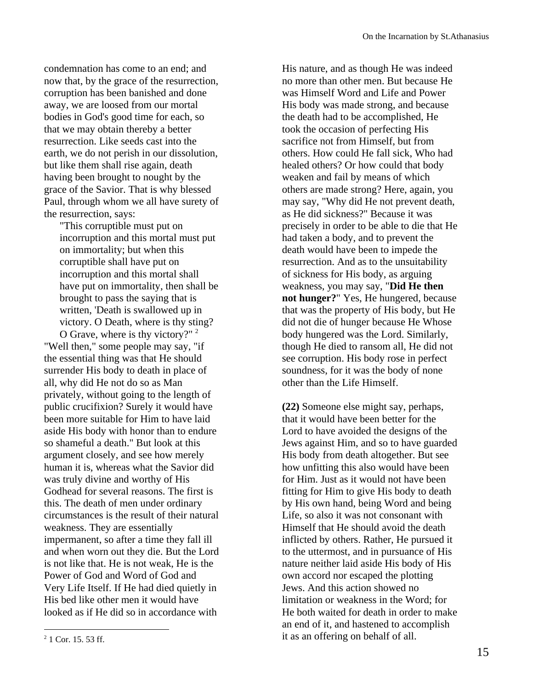condemnation has come to an end; and now that, by the grace of the resurrection, corruption has been banished and done away, we are loosed from our mortal bodies in God's good time for each, so that we may obtain thereby a better resurrection. Like seeds cast into the earth, we do not perish in our dissolution, but like them shall rise again, death having been brought to nought by the grace of the Savior. That is why blessed Paul, through whom we all have surety of the resurrection, says:

"This corruptible must put on incorruption and this mortal must put on immortality; but when this corruptible shall have put on incorruption and this mortal shall have put on immortality, then shall be brought to pass the saying that is written, 'Death is swallowed up in victory. O Death, where is thy sting?

O Grave, where is thy victory?" <sup>2</sup> "Well then," some people may say, "if the essential thing was that He should surrender His body to death in place of all, why did He not do so as Man privately, without going to the length of public crucifixion? Surely it would have been more suitable for Him to have laid aside His body with honor than to endure so shameful a death." But look at this argument closely, and see how merely human it is, whereas what the Savior did was truly divine and worthy of His Godhead for several reasons. The first is this. The death of men under ordinary circumstances is the result of their natural weakness. They are essentially impermanent, so after a time they fall ill and when worn out they die. But the Lord is not like that. He is not weak, He is the Power of God and Word of God and Very Life Itself. If He had died quietly in His bed like other men it would have looked as if He did so in accordance with

His nature, and as though He was indeed no more than other men. But because He was Himself Word and Life and Power His body was made strong, and because the death had to be accomplished, He took the occasion of perfecting His sacrifice not from Himself, but from others. How could He fall sick, Who had healed others? Or how could that body weaken and fail by means of which others are made strong? Here, again, you may say, "Why did He not prevent death, as He did sickness?" Because it was precisely in order to be able to die that He had taken a body, and to prevent the death would have been to impede the resurrection. And as to the unsuitability of sickness for His body, as arguing weakness, you may say, "**Did He then not hunger?**" Yes, He hungered, because that was the property of His body, but He did not die of hunger because He Whose body hungered was the Lord. Similarly, though He died to ransom all, He did not see corruption. His body rose in perfect soundness, for it was the body of none other than the Life Himself.

**(22)** Someone else might say, perhaps, that it would have been better for the Lord to have avoided the designs of the Jews against Him, and so to have guarded His body from death altogether. But see how unfitting this also would have been for Him. Just as it would not have been fitting for Him to give His body to death by His own hand, being Word and being Life, so also it was not consonant with Himself that He should avoid the death inflicted by others. Rather, He pursued it to the uttermost, and in pursuance of His nature neither laid aside His body of His own accord nor escaped the plotting Jews. And this action showed no limitation or weakness in the Word; for He both waited for death in order to make an end of it, and hastened to accomplish it as an offering on behalf of all.

 $\overline{a}$  $2$  1 Cor. 15. 53 ff.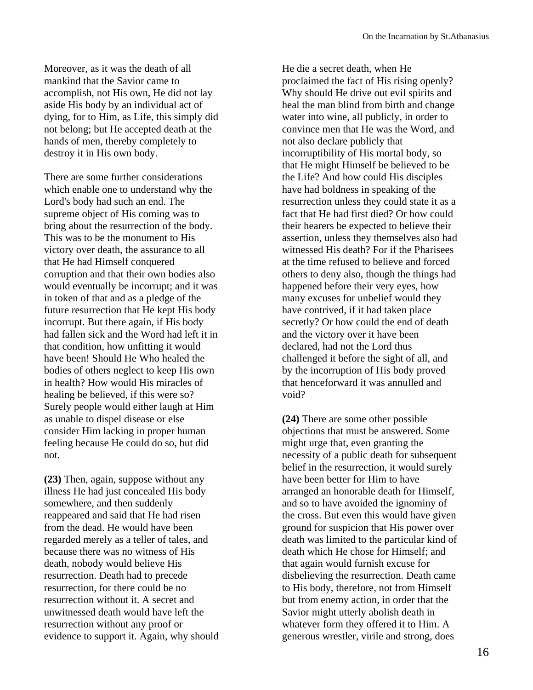Moreover, as it was the death of all mankind that the Savior came to accomplish, not His own, He did not lay aside His body by an individual act of dying, for to Him, as Life, this simply did not belong; but He accepted death at the hands of men, thereby completely to destroy it in His own body.

There are some further considerations which enable one to understand why the Lord's body had such an end. The supreme object of His coming was to bring about the resurrection of the body. This was to be the monument to His victory over death, the assurance to all that He had Himself conquered corruption and that their own bodies also would eventually be incorrupt; and it was in token of that and as a pledge of the future resurrection that He kept His body incorrupt. But there again, if His body had fallen sick and the Word had left it in that condition, how unfitting it would have been! Should He Who healed the bodies of others neglect to keep His own in health? How would His miracles of healing be believed, if this were so? Surely people would either laugh at Him as unable to dispel disease or else consider Him lacking in proper human feeling because He could do so, but did not.

**(23)** Then, again, suppose without any illness He had just concealed His body somewhere, and then suddenly reappeared and said that He had risen from the dead. He would have been regarded merely as a teller of tales, and because there was no witness of His death, nobody would believe His resurrection. Death had to precede resurrection, for there could be no resurrection without it. A secret and unwitnessed death would have left the resurrection without any proof or evidence to support it. Again, why should He die a secret death, when He proclaimed the fact of His rising openly? Why should He drive out evil spirits and heal the man blind from birth and change water into wine, all publicly, in order to convince men that He was the Word, and not also declare publicly that incorruptibility of His mortal body, so that He might Himself be believed to be the Life? And how could His disciples have had boldness in speaking of the resurrection unless they could state it as a fact that He had first died? Or how could their hearers be expected to believe their assertion, unless they themselves also had witnessed His death? For if the Pharisees at the time refused to believe and forced others to deny also, though the things had happened before their very eyes, how many excuses for unbelief would they have contrived, if it had taken place secretly? Or how could the end of death and the victory over it have been declared, had not the Lord thus challenged it before the sight of all, and by the incorruption of His body proved that henceforward it was annulled and void?

**(24)** There are some other possible objections that must be answered. Some might urge that, even granting the necessity of a public death for subsequent belief in the resurrection, it would surely have been better for Him to have arranged an honorable death for Himself, and so to have avoided the ignominy of the cross. But even this would have given ground for suspicion that His power over death was limited to the particular kind of death which He chose for Himself; and that again would furnish excuse for disbelieving the resurrection. Death came to His body, therefore, not from Himself but from enemy action, in order that the Savior might utterly abolish death in whatever form they offered it to Him. A generous wrestler, virile and strong, does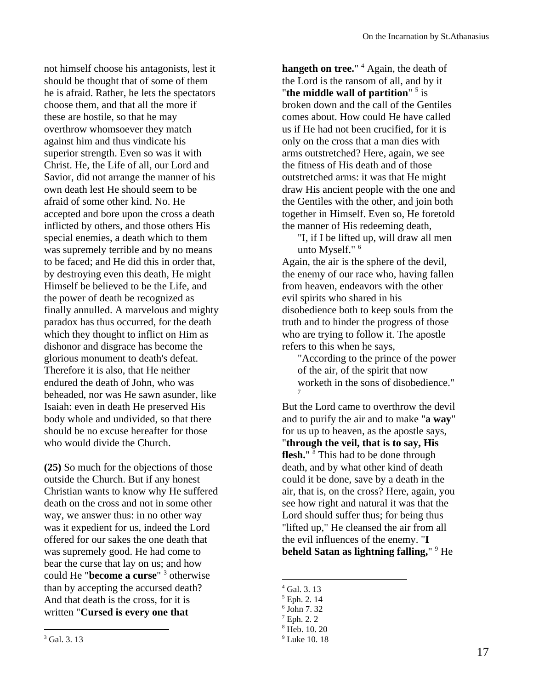not himself choose his antagonists, lest it should be thought that of some of them he is afraid. Rather, he lets the spectators choose them, and that all the more if these are hostile, so that he may overthrow whomsoever they match against him and thus vindicate his superior strength. Even so was it with Christ. He, the Life of all, our Lord and Savior, did not arrange the manner of his own death lest He should seem to be afraid of some other kind. No. He accepted and bore upon the cross a death inflicted by others, and those others His special enemies, a death which to them was supremely terrible and by no means to be faced; and He did this in order that, by destroying even this death, He might Himself be believed to be the Life, and the power of death be recognized as finally annulled. A marvelous and mighty paradox has thus occurred, for the death which they thought to inflict on Him as dishonor and disgrace has become the glorious monument to death's defeat. Therefore it is also, that He neither endured the death of John, who was beheaded, nor was He sawn asunder, like Isaiah: even in death He preserved His body whole and undivided, so that there should be no excuse hereafter for those who would divide the Church.

**(25)** So much for the objections of those outside the Church. But if any honest Christian wants to know why He suffered death on the cross and not in some other way, we answer thus: in no other way was it expedient for us, indeed the Lord offered for our sakes the one death that was supremely good. He had come to bear the curse that lay on us; and how could He "**become a curse**" <sup>3</sup> otherwise than by accepting the accursed death? And that death is the cross, for it is written "**Cursed is every one that**

<sup>3</sup> Gal. 3. 13

 $\overline{a}$ 

**hangeth on tree.**" <sup>4</sup> Again, the death of the Lord is the ransom of all, and by it "**the middle wall of partition**"<sup>5</sup> is broken down and the call of the Gentiles comes about. How could He have called us if He had not been crucified, for it is only on the cross that a man dies with arms outstretched? Here, again, we see the fitness of His death and of those outstretched arms: it was that He might draw His ancient people with the one and the Gentiles with the other, and join both together in Himself. Even so, He foretold the manner of His redeeming death,

"I, if I be lifted up, will draw all men unto Myself." <sup>6</sup>

Again, the air is the sphere of the devil, the enemy of our race who, having fallen from heaven, endeavors with the other evil spirits who shared in his disobedience both to keep souls from the truth and to hinder the progress of those who are trying to follow it. The apostle refers to this when he says,

"According to the prince of the power of the air, of the spirit that now worketh in the sons of disobedience." 7

But the Lord came to overthrow the devil and to purify the air and to make "**a way**" for us up to heaven, as the apostle says, "**through the veil, that is to say, His** flesh." <sup>8</sup> This had to be done through death, and by what other kind of death could it be done, save by a death in the air, that is, on the cross? Here, again, you see how right and natural it was that the Lord should suffer thus; for being thus "lifted up," He cleansed the air from all the evil influences of the enemy. "**I beheld Satan as lightning falling," <sup>9</sup> He** 

<sup>4</sup> Gal. 3. 13

<sup>5</sup> Eph. 2. 14

<sup>6</sup> John 7. 32

 $7$  Eph. 2. 2

<sup>8</sup> Heb. 10. 20

<sup>9</sup> Luke 10. 18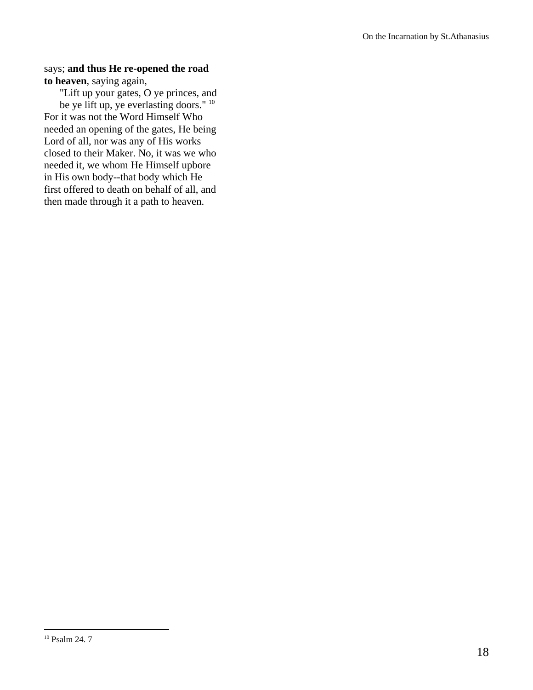#### says; **and thus He re-opened the road to heaven**, saying again,

"Lift up your gates, O ye princes, and be ye lift up, ye everlasting doors." <sup>10</sup> For it was not the Word Himself Who needed an opening of the gates, He being Lord of all, nor was any of His works closed to their Maker. No, it was we who needed it, we whom He Himself upbore in His own body--that body which He first offered to death on behalf of all, and then made through it a path to heaven.

 $\overline{a}$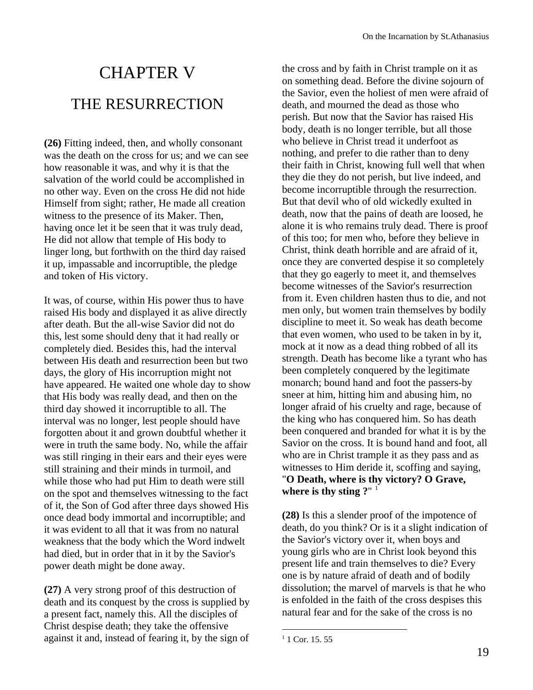## CHAPTER V THE RESURRECTION

**(26)** Fitting indeed, then, and wholly consonant was the death on the cross for us; and we can see how reasonable it was, and why it is that the salvation of the world could be accomplished in no other way. Even on the cross He did not hide Himself from sight; rather, He made all creation witness to the presence of its Maker. Then, having once let it be seen that it was truly dead, He did not allow that temple of His body to linger long, but forthwith on the third day raised it up, impassable and incorruptible, the pledge and token of His victory.

It was, of course, within His power thus to have raised His body and displayed it as alive directly after death. But the all-wise Savior did not do this, lest some should deny that it had really or completely died. Besides this, had the interval between His death and resurrection been but two days, the glory of His incorruption might not have appeared. He waited one whole day to show that His body was really dead, and then on the third day showed it incorruptible to all. The interval was no longer, lest people should have forgotten about it and grown doubtful whether it were in truth the same body. No, while the affair was still ringing in their ears and their eyes were still straining and their minds in turmoil, and while those who had put Him to death were still on the spot and themselves witnessing to the fact of it, the Son of God after three days showed His once dead body immortal and incorruptible; and it was evident to all that it was from no natural weakness that the body which the Word indwelt had died, but in order that in it by the Savior's power death might be done away.

**(27)** A very strong proof of this destruction of death and its conquest by the cross is supplied by a present fact, namely this. All the disciples of Christ despise death; they take the offensive against it and, instead of fearing it, by the sign of the cross and by faith in Christ trample on it as on something dead. Before the divine sojourn of the Savior, even the holiest of men were afraid of death, and mourned the dead as those who perish. But now that the Savior has raised His body, death is no longer terrible, but all those who believe in Christ tread it underfoot as nothing, and prefer to die rather than to deny their faith in Christ, knowing full well that when they die they do not perish, but live indeed, and become incorruptible through the resurrection. But that devil who of old wickedly exulted in death, now that the pains of death are loosed, he alone it is who remains truly dead. There is proof of this too; for men who, before they believe in Christ, think death horrible and are afraid of it, once they are converted despise it so completely that they go eagerly to meet it, and themselves become witnesses of the Savior's resurrection from it. Even children hasten thus to die, and not men only, but women train themselves by bodily discipline to meet it. So weak has death become that even women, who used to be taken in by it, mock at it now as a dead thing robbed of all its strength. Death has become like a tyrant who has been completely conquered by the legitimate monarch; bound hand and foot the passers-by sneer at him, hitting him and abusing him, no longer afraid of his cruelty and rage, because of the king who has conquered him. So has death been conquered and branded for what it is by the Savior on the cross. It is bound hand and foot, all who are in Christ trample it as they pass and as witnesses to Him deride it, scoffing and saying, "**O Death, where is thy victory? O Grave,** where is thy sting ?"<sup>1</sup>

**(28)** Is this a slender proof of the impotence of death, do you think? Or is it a slight indication of the Savior's victory over it, when boys and young girls who are in Christ look beyond this present life and train themselves to die? Every one is by nature afraid of death and of bodily dissolution; the marvel of marvels is that he who is enfolded in the faith of the cross despises this natural fear and for the sake of the cross is no

 $1$  Cor. 15.55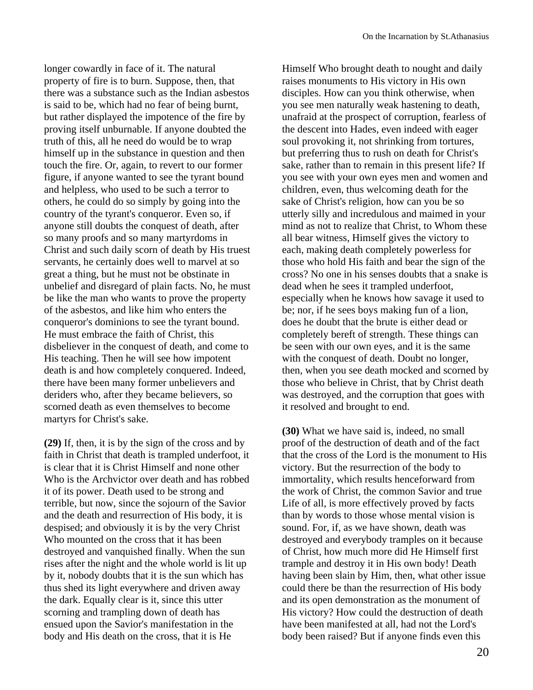longer cowardly in face of it. The natural property of fire is to burn. Suppose, then, that there was a substance such as the Indian asbestos is said to be, which had no fear of being burnt, but rather displayed the impotence of the fire by proving itself unburnable. If anyone doubted the truth of this, all he need do would be to wrap himself up in the substance in question and then touch the fire. Or, again, to revert to our former figure, if anyone wanted to see the tyrant bound and helpless, who used to be such a terror to others, he could do so simply by going into the country of the tyrant's conqueror. Even so, if anyone still doubts the conquest of death, after so many proofs and so many martyrdoms in Christ and such daily scorn of death by His truest servants, he certainly does well to marvel at so great a thing, but he must not be obstinate in unbelief and disregard of plain facts. No, he must be like the man who wants to prove the property of the asbestos, and like him who enters the conqueror's dominions to see the tyrant bound. He must embrace the faith of Christ, this disbeliever in the conquest of death, and come to His teaching. Then he will see how impotent death is and how completely conquered. Indeed, there have been many former unbelievers and deriders who, after they became believers, so scorned death as even themselves to become martyrs for Christ's sake.

**(29)** If, then, it is by the sign of the cross and by faith in Christ that death is trampled underfoot, it is clear that it is Christ Himself and none other Who is the Archvictor over death and has robbed it of its power. Death used to be strong and terrible, but now, since the sojourn of the Savior and the death and resurrection of His body, it is despised; and obviously it is by the very Christ Who mounted on the cross that it has been destroyed and vanquished finally. When the sun rises after the night and the whole world is lit up by it, nobody doubts that it is the sun which has thus shed its light everywhere and driven away the dark. Equally clear is it, since this utter scorning and trampling down of death has ensued upon the Savior's manifestation in the body and His death on the cross, that it is He

Himself Who brought death to nought and daily raises monuments to His victory in His own disciples. How can you think otherwise, when you see men naturally weak hastening to death, unafraid at the prospect of corruption, fearless of the descent into Hades, even indeed with eager soul provoking it, not shrinking from tortures, but preferring thus to rush on death for Christ's sake, rather than to remain in this present life? If you see with your own eyes men and women and children, even, thus welcoming death for the sake of Christ's religion, how can you be so utterly silly and incredulous and maimed in your mind as not to realize that Christ, to Whom these all bear witness, Himself gives the victory to each, making death completely powerless for those who hold His faith and bear the sign of the cross? No one in his senses doubts that a snake is dead when he sees it trampled underfoot, especially when he knows how savage it used to be; nor, if he sees boys making fun of a lion, does he doubt that the brute is either dead or completely bereft of strength. These things can be seen with our own eyes, and it is the same with the conquest of death. Doubt no longer, then, when you see death mocked and scorned by those who believe in Christ, that by Christ death was destroyed, and the corruption that goes with it resolved and brought to end.

**(30)** What we have said is, indeed, no small proof of the destruction of death and of the fact that the cross of the Lord is the monument to His victory. But the resurrection of the body to immortality, which results henceforward from the work of Christ, the common Savior and true Life of all, is more effectively proved by facts than by words to those whose mental vision is sound. For, if, as we have shown, death was destroyed and everybody tramples on it because of Christ, how much more did He Himself first trample and destroy it in His own body! Death having been slain by Him, then, what other issue could there be than the resurrection of His body and its open demonstration as the monument of His victory? How could the destruction of death have been manifested at all, had not the Lord's body been raised? But if anyone finds even this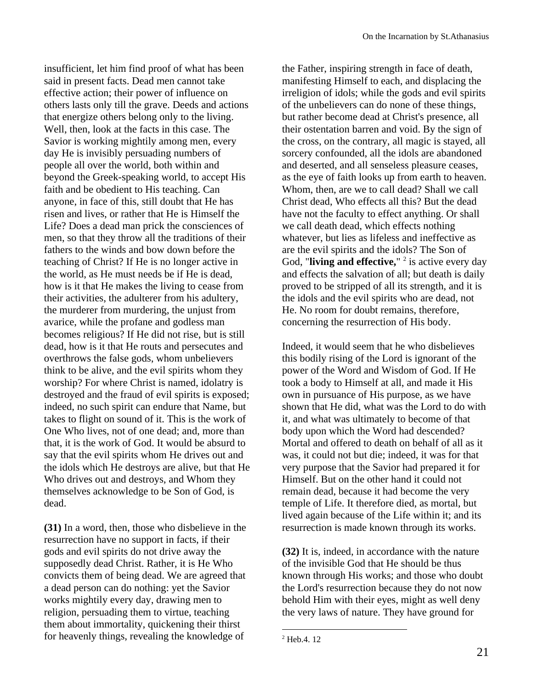insufficient, let him find proof of what has been said in present facts. Dead men cannot take effective action; their power of influence on others lasts only till the grave. Deeds and actions that energize others belong only to the living. Well, then, look at the facts in this case. The Savior is working mightily among men, every day He is invisibly persuading numbers of people all over the world, both within and beyond the Greek-speaking world, to accept His faith and be obedient to His teaching. Can anyone, in face of this, still doubt that He has risen and lives, or rather that He is Himself the Life? Does a dead man prick the consciences of men, so that they throw all the traditions of their fathers to the winds and bow down before the teaching of Christ? If He is no longer active in the world, as He must needs be if He is dead, how is it that He makes the living to cease from their activities, the adulterer from his adultery, the murderer from murdering, the unjust from avarice, while the profane and godless man becomes religious? If He did not rise, but is still dead, how is it that He routs and persecutes and overthrows the false gods, whom unbelievers think to be alive, and the evil spirits whom they worship? For where Christ is named, idolatry is destroyed and the fraud of evil spirits is exposed; indeed, no such spirit can endure that Name, but takes to flight on sound of it. This is the work of One Who lives, not of one dead; and, more than that, it is the work of God. It would be absurd to say that the evil spirits whom He drives out and the idols which He destroys are alive, but that He Who drives out and destroys, and Whom they themselves acknowledge to be Son of God, is dead.

**(31)** In a word, then, those who disbelieve in the resurrection have no support in facts, if their gods and evil spirits do not drive away the supposedly dead Christ. Rather, it is He Who convicts them of being dead. We are agreed that a dead person can do nothing: yet the Savior works mightily every day, drawing men to religion, persuading them to virtue, teaching them about immortality, quickening their thirst for heavenly things, revealing the knowledge of

the Father, inspiring strength in face of death, manifesting Himself to each, and displacing the irreligion of idols; while the gods and evil spirits of the unbelievers can do none of these things, but rather become dead at Christ's presence, all their ostentation barren and void. By the sign of the cross, on the contrary, all magic is stayed, all sorcery confounded, all the idols are abandoned and deserted, and all senseless pleasure ceases, as the eye of faith looks up from earth to heaven. Whom, then, are we to call dead? Shall we call Christ dead, Who effects all this? But the dead have not the faculty to effect anything. Or shall we call death dead, which effects nothing whatever, but lies as lifeless and ineffective as are the evil spirits and the idols? The Son of God, "living and effective," <sup>2</sup> is active every day and effects the salvation of all; but death is daily proved to be stripped of all its strength, and it is the idols and the evil spirits who are dead, not He. No room for doubt remains, therefore, concerning the resurrection of His body.

Indeed, it would seem that he who disbelieves this bodily rising of the Lord is ignorant of the power of the Word and Wisdom of God. If He took a body to Himself at all, and made it His own in pursuance of His purpose, as we have shown that He did, what was the Lord to do with it, and what was ultimately to become of that body upon which the Word had descended? Mortal and offered to death on behalf of all as it was, it could not but die; indeed, it was for that very purpose that the Savior had prepared it for Himself. But on the other hand it could not remain dead, because it had become the very temple of Life. It therefore died, as mortal, but lived again because of the Life within it; and its resurrection is made known through its works.

**(32)** It is, indeed, in accordance with the nature of the invisible God that He should be thus known through His works; and those who doubt the Lord's resurrection because they do not now behold Him with their eyes, might as well deny the very laws of nature. They have ground for

 $2$  Heb.4. 12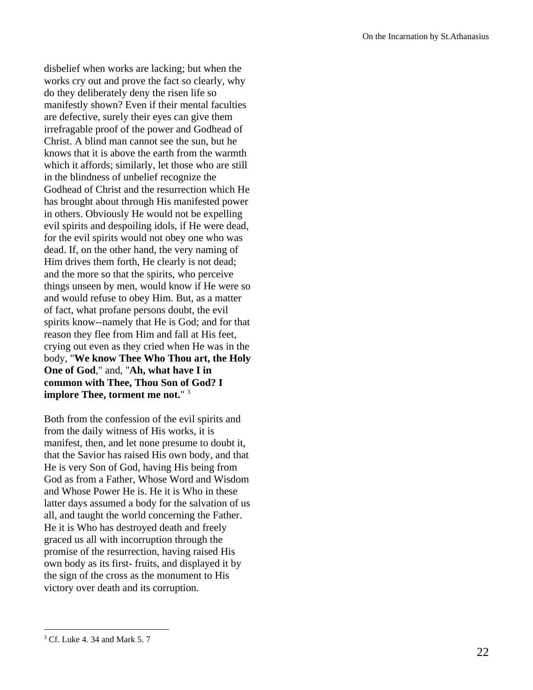disbelief when works are lacking; but when the works cry out and prove the fact so clearly, why do they deliberately deny the risen life so manifestly shown? Even if their mental faculties are defective, surely their eyes can give them irrefragable proof of the power and Godhead of Christ. A blind man cannot see the sun, but he knows that it is above the earth from the warmth which it affords; similarly, let those who are still in the blindness of unbelief recognize the Godhead of Christ and the resurrection which He has brought about through His manifested power in others. Obviously He would not be expelling evil spirits and despoiling idols, if He were dead, for the evil spirits would not obey one who was dead. If, on the other hand, the very naming of Him drives them forth, He clearly is not dead; and the more so that the spirits, who perceive things unseen by men, would know if He were so and would refuse to obey Him. But, as a matter of fact, what profane persons doubt, the evil spirits know--namely that He is God; and for that reason they flee from Him and fall at His feet, crying out even as they cried when He was in the body, "**We know Thee Who Thou art, the Holy One of God**," and, "**Ah, what have I in common with Thee, Thou Son of God? I implore Thee, torment me not.**" <sup>3</sup>

Both from the confession of the evil spirits and from the daily witness of His works, it is manifest, then, and let none presume to doubt it, that the Savior has raised His own body, and that He is very Son of God, having His being from God as from a Father, Whose Word and Wisdom and Whose Power He is. He it is Who in these latter days assumed a body for the salvation of us all, and taught the world concerning the Father. He it is Who has destroyed death and freely graced us all with incorruption through the promise of the resurrection, having raised His own body as its first- fruits, and displayed it by the sign of the cross as the monument to His victory over death and its corruption.

 $\overline{a}$ 

<sup>3</sup> Cf. Luke 4. 34 and Mark 5. 7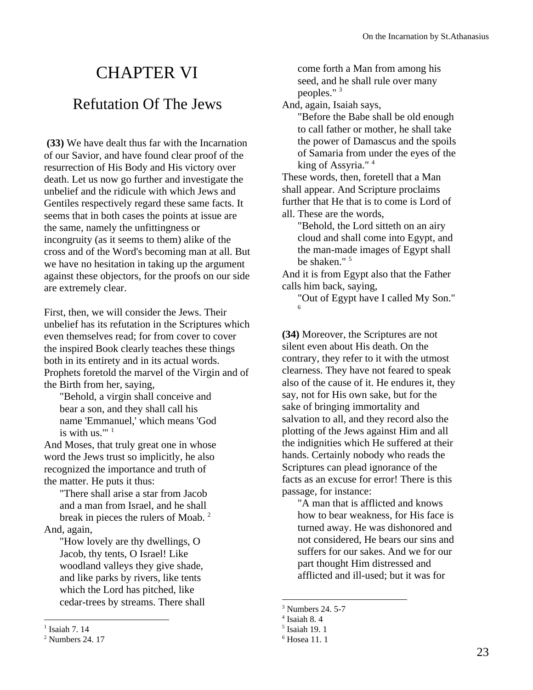## CHAPTER VI

#### Refutation Of The Jews

 **(33)** We have dealt thus far with the Incarnation of our Savior, and have found clear proof of the resurrection of His Body and His victory over death. Let us now go further and investigate the unbelief and the ridicule with which Jews and Gentiles respectively regard these same facts. It seems that in both cases the points at issue are the same, namely the unfittingness or incongruity (as it seems to them) alike of the cross and of the Word's becoming man at all. But we have no hesitation in taking up the argument against these objectors, for the proofs on our side are extremely clear.

First, then, we will consider the Jews. Their unbelief has its refutation in the Scriptures which even themselves read; for from cover to cover the inspired Book clearly teaches these things both in its entirety and in its actual words. Prophets foretold the marvel of the Virgin and of the Birth from her, saying,

"Behold, a virgin shall conceive and bear a son, and they shall call his name 'Emmanuel,' which means 'God is with us. $1$ <sup>" 1</sup>

And Moses, that truly great one in whose word the Jews trust so implicitly, he also recognized the importance and truth of the matter. He puts it thus:

"There shall arise a star from Jacob and a man from Israel, and he shall break in pieces the rulers of Moab. <sup>2</sup>

And, again,

"How lovely are thy dwellings, O Jacob, thy tents, O Israel! Like woodland valleys they give shade, and like parks by rivers, like tents which the Lord has pitched, like cedar-trees by streams. There shall come forth a Man from among his seed, and he shall rule over many peoples." <sup>3</sup>

And, again, Isaiah says,

"Before the Babe shall be old enough to call father or mother, he shall take the power of Damascus and the spoils of Samaria from under the eyes of the king of Assyria."<sup>4</sup>

These words, then, foretell that a Man shall appear. And Scripture proclaims further that He that is to come is Lord of all. These are the words,

"Behold, the Lord sitteth on an airy cloud and shall come into Egypt, and the man-made images of Egypt shall be shaken." <sup>5</sup>

And it is from Egypt also that the Father calls him back, saying,

"Out of Egypt have I called My Son." 6

**(34)** Moreover, the Scriptures are not silent even about His death. On the contrary, they refer to it with the utmost clearness. They have not feared to speak also of the cause of it. He endures it, they say, not for His own sake, but for the sake of bringing immortality and salvation to all, and they record also the plotting of the Jews against Him and all the indignities which He suffered at their hands. Certainly nobody who reads the Scriptures can plead ignorance of the facts as an excuse for error! There is this passage, for instance:

"A man that is afflicted and knows how to bear weakness, for His face is turned away. He was dishonored and not considered, He bears our sins and suffers for our sakes. And we for our part thought Him distressed and afflicted and ill-used; but it was for

 1 Isaiah 7. 14

 $<sup>2</sup>$  Numbers 24. 17</sup>

<sup>3</sup> Numbers 24. 5-7

<sup>4</sup> Isaiah 8. 4

<sup>5</sup> Isaiah 19. 1

<sup>6</sup> Hosea 11. 1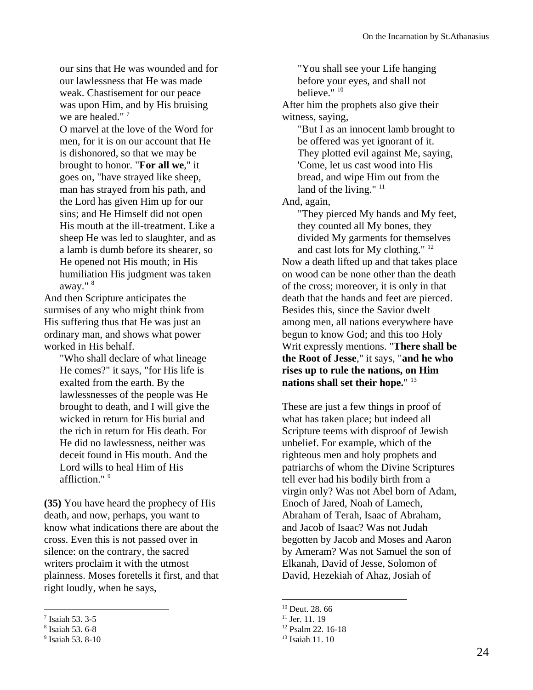our sins that He was wounded and for our lawlessness that He was made weak. Chastisement for our peace was upon Him, and by His bruising we are healed."<sup>7</sup>

O marvel at the love of the Word for men, for it is on our account that He is dishonored, so that we may be brought to honor. "**For all we**," it goes on, "have strayed like sheep, man has strayed from his path, and the Lord has given Him up for our sins; and He Himself did not open His mouth at the ill-treatment. Like a sheep He was led to slaughter, and as a lamb is dumb before its shearer, so He opened not His mouth; in His humiliation His judgment was taken away." <sup>8</sup>

And then Scripture anticipates the surmises of any who might think from His suffering thus that He was just an ordinary man, and shows what power worked in His behalf.

"Who shall declare of what lineage He comes?" it says, "for His life is exalted from the earth. By the lawlessnesses of the people was He brought to death, and I will give the wicked in return for His burial and the rich in return for His death. For He did no lawlessness, neither was deceit found in His mouth. And the Lord wills to heal Him of His affliction."<sup>9</sup>

**(35)** You have heard the prophecy of His death, and now, perhaps, you want to know what indications there are about the cross. Even this is not passed over in silence: on the contrary, the sacred writers proclaim it with the utmost plainness. Moses foretells it first, and that right loudly, when he says,

"You shall see your Life hanging before your eyes, and shall not believe." <sup>10</sup>

After him the prophets also give their witness, saying,

"But I as an innocent lamb brought to be offered was yet ignorant of it. They plotted evil against Me, saying, 'Come, let us cast wood into His bread, and wipe Him out from the land of the living."  $11$ 

And, again,

"They pierced My hands and My feet, they counted all My bones, they divided My garments for themselves

and cast lots for My clothing." <sup>12</sup> Now a death lifted up and that takes place on wood can be none other than the death of the cross; moreover, it is only in that death that the hands and feet are pierced. Besides this, since the Savior dwelt among men, all nations everywhere have begun to know God; and this too Holy Writ expressly mentions. "**There shall be the Root of Jesse**," it says, "**and he who rises up to rule the nations, on Him nations shall set their hope.**" <sup>13</sup>

These are just a few things in proof of what has taken place; but indeed all Scripture teems with disproof of Jewish unbelief. For example, which of the righteous men and holy prophets and patriarchs of whom the Divine Scriptures tell ever had his bodily birth from a virgin only? Was not Abel born of Adam, Enoch of Jared, Noah of Lamech, Abraham of Terah, Isaac of Abraham, and Jacob of Isaac? Was not Judah begotten by Jacob and Moses and Aaron by Ameram? Was not Samuel the son of Elkanah, David of Jesse, Solomon of David, Hezekiah of Ahaz, Josiah of

 $\overline{a}$ 7 Isaiah 53. 3-5

<sup>8</sup> Isaiah 53. 6-8

<sup>&</sup>lt;sup>9</sup> Isaiah 53. 8-10

<sup>&</sup>lt;sup>10</sup> Deut. 28, 66

 $11$  Jer. 11. 19

<sup>&</sup>lt;sup>12</sup> Psalm 22. 16-18

<sup>13</sup> Isaiah 11. 10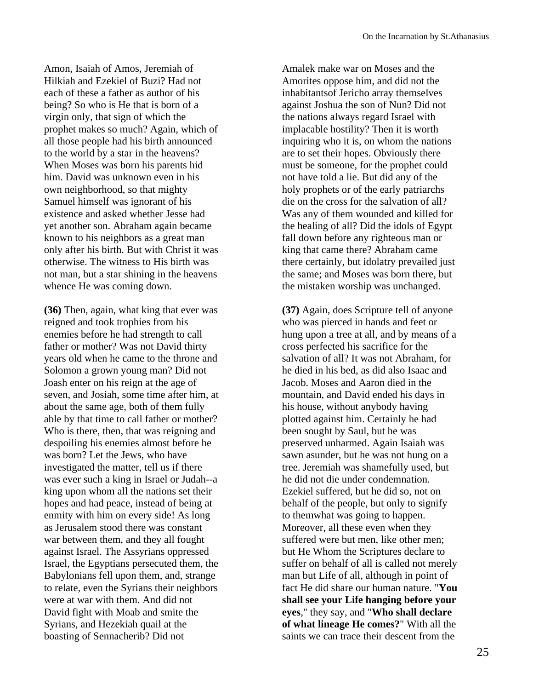Amon, Isaiah of Amos, Jeremiah of Hilkiah and Ezekiel of Buzi? Had not each of these a father as author of his being? So who is He that is born of a virgin only, that sign of which the prophet makes so much? Again, which of all those people had his birth announced to the world by a star in the heavens? When Moses was born his parents hid him. David was unknown even in his own neighborhood, so that mighty Samuel himself was ignorant of his existence and asked whether Jesse had yet another son. Abraham again became known to his neighbors as a great man only after his birth. But with Christ it was otherwise. The witness to His birth was not man, but a star shining in the heavens whence He was coming down.

**(36)** Then, again, what king that ever was reigned and took trophies from his enemies before he had strength to call father or mother? Was not David thirty years old when he came to the throne and Solomon a grown young man? Did not Joash enter on his reign at the age of seven, and Josiah, some time after him, at about the same age, both of them fully able by that time to call father or mother? Who is there, then, that was reigning and despoiling his enemies almost before he was born? Let the Jews, who have investigated the matter, tell us if there was ever such a king in Israel or Judah--a king upon whom all the nations set their hopes and had peace, instead of being at enmity with him on every side! As long as Jerusalem stood there was constant war between them, and they all fought against Israel. The Assyrians oppressed Israel, the Egyptians persecuted them, the Babylonians fell upon them, and, strange to relate, even the Syrians their neighbors were at war with them. And did not David fight with Moab and smite the Syrians, and Hezekiah quail at the boasting of Sennacherib? Did not

Amalek make war on Moses and the Amorites oppose him, and did not the inhabitantsof Jericho array themselves against Joshua the son of Nun? Did not the nations always regard Israel with implacable hostility? Then it is worth inquiring who it is, on whom the nations are to set their hopes. Obviously there must be someone, for the prophet could not have told a lie. But did any of the holy prophets or of the early patriarchs die on the cross for the salvation of all? Was any of them wounded and killed for the healing of all? Did the idols of Egypt fall down before any righteous man or king that came there? Abraham came there certainly, but idolatry prevailed just the same; and Moses was born there, but the mistaken worship was unchanged.

**(37)** Again, does Scripture tell of anyone who was pierced in hands and feet or hung upon a tree at all, and by means of a cross perfected his sacrifice for the salvation of all? It was not Abraham, for he died in his bed, as did also Isaac and Jacob. Moses and Aaron died in the mountain, and David ended his days in his house, without anybody having plotted against him. Certainly he had been sought by Saul, but he was preserved unharmed. Again Isaiah was sawn asunder, but he was not hung on a tree. Jeremiah was shamefully used, but he did not die under condemnation. Ezekiel suffered, but he did so, not on behalf of the people, but only to signify to themwhat was going to happen. Moreover, all these even when they suffered were but men, like other men; but He Whom the Scriptures declare to suffer on behalf of all is called not merely man but Life of all, although in point of fact He did share our human nature. "**You shall see your Life hanging before your eyes**," they say, and "**Who shall declare of what lineage He comes?**" With all the saints we can trace their descent from the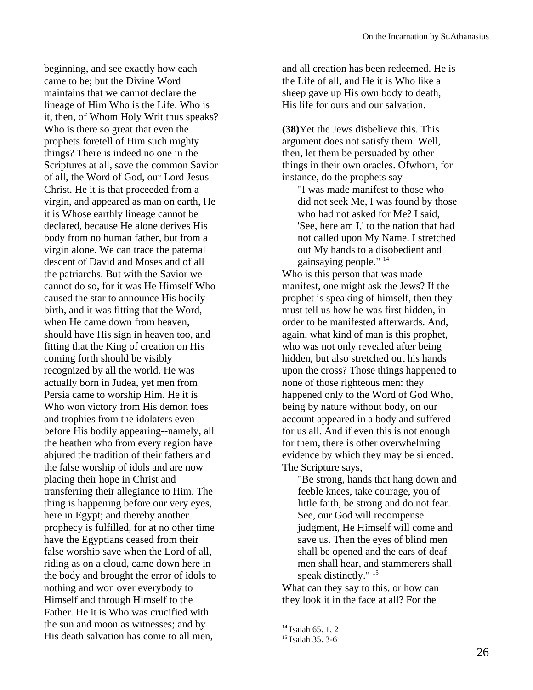beginning, and see exactly how each came to be; but the Divine Word maintains that we cannot declare the lineage of Him Who is the Life. Who is it, then, of Whom Holy Writ thus speaks? Who is there so great that even the prophets foretell of Him such mighty things? There is indeed no one in the Scriptures at all, save the common Savior of all, the Word of God, our Lord Jesus Christ. He it is that proceeded from a virgin, and appeared as man on earth, He it is Whose earthly lineage cannot be declared, because He alone derives His body from no human father, but from a virgin alone. We can trace the paternal descent of David and Moses and of all the patriarchs. But with the Savior we cannot do so, for it was He Himself Who caused the star to announce His bodily birth, and it was fitting that the Word, when He came down from heaven. should have His sign in heaven too, and fitting that the King of creation on His coming forth should be visibly recognized by all the world. He was actually born in Judea, yet men from Persia came to worship Him. He it is Who won victory from His demon foes and trophies from the idolaters even before His bodily appearing--namely, all the heathen who from every region have abjured the tradition of their fathers and the false worship of idols and are now placing their hope in Christ and transferring their allegiance to Him. The thing is happening before our very eyes, here in Egypt; and thereby another prophecy is fulfilled, for at no other time have the Egyptians ceased from their false worship save when the Lord of all, riding as on a cloud, came down here in the body and brought the error of idols to nothing and won over everybody to Himself and through Himself to the Father. He it is Who was crucified with the sun and moon as witnesses; and by His death salvation has come to all men,

and all creation has been redeemed. He is the Life of all, and He it is Who like a sheep gave up His own body to death, His life for ours and our salvation.

**(38)**Yet the Jews disbelieve this. This argument does not satisfy them. Well, then, let them be persuaded by other things in their own oracles. Ofwhom, for instance, do the prophets say

"I was made manifest to those who did not seek Me, I was found by those who had not asked for Me? I said, 'See, here am I,' to the nation that had not called upon My Name. I stretched out My hands to a disobedient and gainsaying people." <sup>14</sup>

Who is this person that was made manifest, one might ask the Jews? If the prophet is speaking of himself, then they must tell us how he was first hidden, in order to be manifested afterwards. And, again, what kind of man is this prophet, who was not only revealed after being hidden, but also stretched out his hands upon the cross? Those things happened to none of those righteous men: they happened only to the Word of God Who, being by nature without body, on our account appeared in a body and suffered for us all. And if even this is not enough for them, there is other overwhelming evidence by which they may be silenced. The Scripture says,

"Be strong, hands that hang down and feeble knees, take courage, you of little faith, be strong and do not fear. See, our God will recompense judgment, He Himself will come and save us. Then the eyes of blind men shall be opened and the ears of deaf men shall hear, and stammerers shall speak distinctly." <sup>15</sup>

What can they say to this, or how can they look it in the face at all? For the

<sup>14</sup> Isaiah 65. 1, 2

 $15$  Isaiah 35. 3-6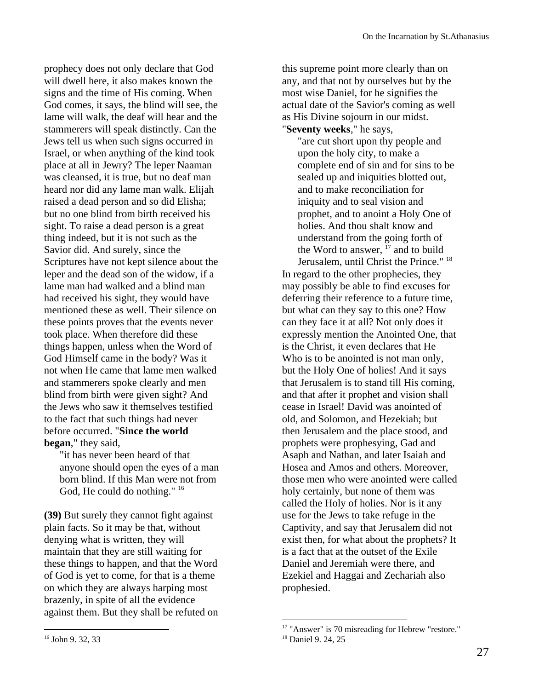prophecy does not only declare that God will dwell here, it also makes known the signs and the time of His coming. When God comes, it says, the blind will see, the lame will walk, the deaf will hear and the stammerers will speak distinctly. Can the Jews tell us when such signs occurred in Israel, or when anything of the kind took place at all in Jewry? The leper Naaman was cleansed, it is true, but no deaf man heard nor did any lame man walk. Elijah raised a dead person and so did Elisha; but no one blind from birth received his sight. To raise a dead person is a great thing indeed, but it is not such as the Savior did. And surely, since the Scriptures have not kept silence about the leper and the dead son of the widow, if a lame man had walked and a blind man had received his sight, they would have mentioned these as well. Their silence on these points proves that the events never took place. When therefore did these things happen, unless when the Word of God Himself came in the body? Was it not when He came that lame men walked and stammerers spoke clearly and men blind from birth were given sight? And the Jews who saw it themselves testified to the fact that such things had never before occurred. "**Since the world began**," they said,

"it has never been heard of that anyone should open the eyes of a man born blind. If this Man were not from God, He could do nothing." <sup>16</sup>

**(39)** But surely they cannot fight against plain facts. So it may be that, without denying what is written, they will maintain that they are still waiting for these things to happen, and that the Word of God is yet to come, for that is a theme on which they are always harping most brazenly, in spite of all the evidence against them. But they shall be refuted on this supreme point more clearly than on any, and that not by ourselves but by the most wise Daniel, for he signifies the actual date of the Savior's coming as well as His Divine sojourn in our midst. "**Seventy weeks**," he says,

"are cut short upon thy people and upon the holy city, to make a complete end of sin and for sins to be sealed up and iniquities blotted out, and to make reconciliation for iniquity and to seal vision and prophet, and to anoint a Holy One of holies. And thou shalt know and understand from the going forth of the Word to answer,  $\frac{17}{17}$  and to build Jerusalem, until Christ the Prince." <sup>18</sup>

In regard to the other prophecies, they may possibly be able to find excuses for deferring their reference to a future time, but what can they say to this one? How can they face it at all? Not only does it expressly mention the Anointed One, that is the Christ, it even declares that He Who is to be anointed is not man only. but the Holy One of holies! And it says that Jerusalem is to stand till His coming, and that after it prophet and vision shall cease in Israel! David was anointed of old, and Solomon, and Hezekiah; but then Jerusalem and the place stood, and prophets were prophesying, Gad and Asaph and Nathan, and later Isaiah and Hosea and Amos and others. Moreover, those men who were anointed were called holy certainly, but none of them was called the Holy of holies. Nor is it any use for the Jews to take refuge in the Captivity, and say that Jerusalem did not exist then, for what about the prophets? It is a fact that at the outset of the Exile Daniel and Jeremiah were there, and Ezekiel and Haggai and Zechariah also prophesied.

l

 $\overline{a}$ 

<sup>&</sup>lt;sup>17</sup> "Answer" is 70 misreading for Hebrew "restore."

<sup>&</sup>lt;sup>18</sup> Daniel 9, 24, 25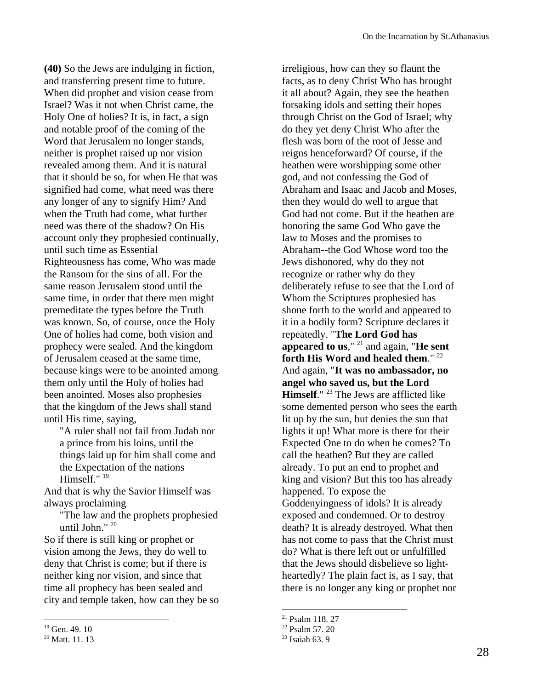**(40)** So the Jews are indulging in fiction, and transferring present time to future. When did prophet and vision cease from Israel? Was it not when Christ came, the Holy One of holies? It is, in fact, a sign and notable proof of the coming of the Word that Jerusalem no longer stands, neither is prophet raised up nor vision revealed among them. And it is natural that it should be so, for when He that was signified had come, what need was there any longer of any to signify Him? And when the Truth had come, what further need was there of the shadow? On His account only they prophesied continually, until such time as Essential Righteousness has come, Who was made the Ransom for the sins of all. For the same reason Jerusalem stood until the same time, in order that there men might premeditate the types before the Truth was known. So, of course, once the Holy One of holies had come, both vision and prophecy were sealed. And the kingdom of Jerusalem ceased at the same time, because kings were to be anointed among them only until the Holy of holies had been anointed. Moses also prophesies that the kingdom of the Jews shall stand until His time, saying,

"A ruler shall not fail from Judah nor a prince from his loins, until the things laid up for him shall come and the Expectation of the nations Himself." <sup>19</sup>

And that is why the Savior Himself was always proclaiming

"The law and the prophets prophesied until John." <sup>20</sup>

So if there is still king or prophet or vision among the Jews, they do well to deny that Christ is come; but if there is neither king nor vision, and since that time all prophecy has been sealed and city and temple taken, how can they be so

irreligious, how can they so flaunt the facts, as to deny Christ Who has brought it all about? Again, they see the heathen forsaking idols and setting their hopes through Christ on the God of Israel; why do they yet deny Christ Who after the flesh was born of the root of Jesse and reigns henceforward? Of course, if the heathen were worshipping some other god, and not confessing the God of Abraham and Isaac and Jacob and Moses, then they would do well to argue that God had not come. But if the heathen are honoring the same God Who gave the law to Moses and the promises to Abraham--the God Whose word too the Jews dishonored, why do they not recognize or rather why do they deliberately refuse to see that the Lord of Whom the Scriptures prophesied has shone forth to the world and appeared to it in a bodily form? Scripture declares it repeatedly. "**The Lord God has appeared to us**," <sup>21</sup> and again, "**He sent forth His Word and healed them**." <sup>22</sup> And again, "**It was no ambassador, no angel who saved us, but the Lord Himself.**" <sup>23</sup> The Jews are afflicted like some demented person who sees the earth lit up by the sun, but denies the sun that lights it up! What more is there for their Expected One to do when he comes? To call the heathen? But they are called already. To put an end to prophet and king and vision? But this too has already happened. To expose the Goddenyingness of idols? It is already exposed and condemned. Or to destroy death? It is already destroyed. What then has not come to pass that the Christ must do? What is there left out or unfulfilled that the Jews should disbelieve so lightheartedly? The plain fact is, as I say, that there is no longer any king or prophet nor

 $\overline{a}$ <sup>19</sup> Gen. 49. 10

 $20$  Matt. 11. 13

 $21$  Psalm 118, 27

<sup>22</sup> Psalm 57. 20

 $23$  Isaiah 63. 9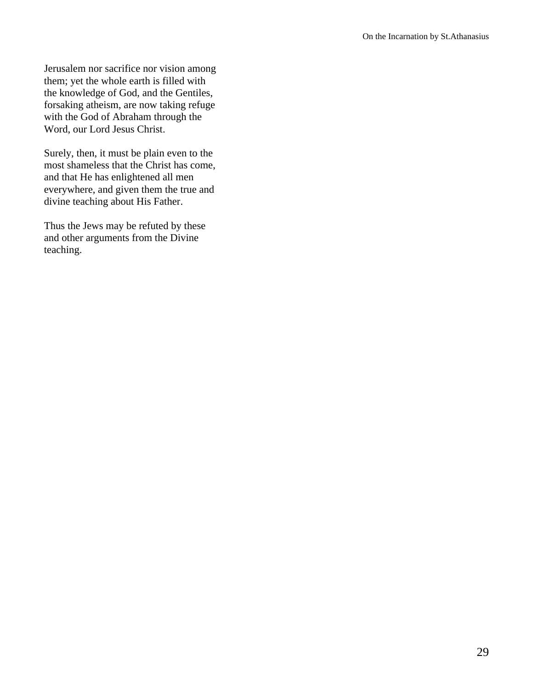Jerusalem nor sacrifice nor vision among them; yet the whole earth is filled with the knowledge of God, and the Gentiles, forsaking atheism, are now taking refuge with the God of Abraham through the Word, our Lord Jesus Christ.

Surely, then, it must be plain even to the most shameless that the Christ has come, and that He has enlightened all men everywhere, and given them the true and divine teaching about His Father.

Thus the Jews may be refuted by these and other arguments from the Divine teaching.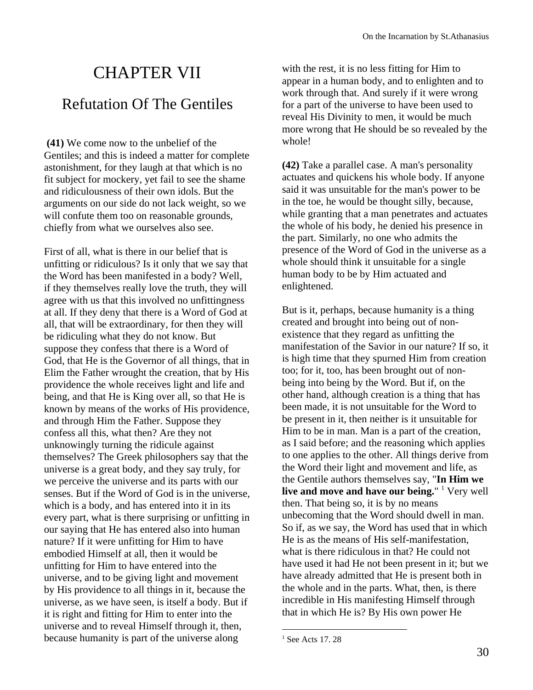## CHAPTER VII

#### Refutation Of The Gentiles

 **(41)** We come now to the unbelief of the Gentiles; and this is indeed a matter for complete astonishment, for they laugh at that which is no fit subject for mockery, yet fail to see the shame and ridiculousness of their own idols. But the arguments on our side do not lack weight, so we will confute them too on reasonable grounds, chiefly from what we ourselves also see.

First of all, what is there in our belief that is unfitting or ridiculous? Is it only that we say that the Word has been manifested in a body? Well, if they themselves really love the truth, they will agree with us that this involved no unfittingness at all. If they deny that there is a Word of God at all, that will be extraordinary, for then they will be ridiculing what they do not know. But suppose they confess that there is a Word of God, that He is the Governor of all things, that in Elim the Father wrought the creation, that by His providence the whole receives light and life and being, and that He is King over all, so that He is known by means of the works of His providence, and through Him the Father. Suppose they confess all this, what then? Are they not unknowingly turning the ridicule against themselves? The Greek philosophers say that the universe is a great body, and they say truly, for we perceive the universe and its parts with our senses. But if the Word of God is in the universe, which is a body, and has entered into it in its every part, what is there surprising or unfitting in our saying that He has entered also into human nature? If it were unfitting for Him to have embodied Himself at all, then it would be unfitting for Him to have entered into the universe, and to be giving light and movement by His providence to all things in it, because the universe, as we have seen, is itself a body. But if it is right and fitting for Him to enter into the universe and to reveal Himself through it, then, because humanity is part of the universe along

with the rest, it is no less fitting for Him to appear in a human body, and to enlighten and to work through that. And surely if it were wrong for a part of the universe to have been used to reveal His Divinity to men, it would be much more wrong that He should be so revealed by the whole!

**(42)** Take a parallel case. A man's personality actuates and quickens his whole body. If anyone said it was unsuitable for the man's power to be in the toe, he would be thought silly, because, while granting that a man penetrates and actuates the whole of his body, he denied his presence in the part. Similarly, no one who admits the presence of the Word of God in the universe as a whole should think it unsuitable for a single human body to be by Him actuated and enlightened.

But is it, perhaps, because humanity is a thing created and brought into being out of nonexistence that they regard as unfitting the manifestation of the Savior in our nature? If so, it is high time that they spurned Him from creation too; for it, too, has been brought out of nonbeing into being by the Word. But if, on the other hand, although creation is a thing that has been made, it is not unsuitable for the Word to be present in it, then neither is it unsuitable for Him to be in man. Man is a part of the creation, as I said before; and the reasoning which applies to one applies to the other. All things derive from the Word their light and movement and life, as the Gentile authors themselves say, "**In Him we live and move and have our being."** I Very well then. That being so, it is by no means unbecoming that the Word should dwell in man. So if, as we say, the Word has used that in which He is as the means of His self-manifestation, what is there ridiculous in that? He could not have used it had He not been present in it; but we have already admitted that He is present both in the whole and in the parts. What, then, is there incredible in His manifesting Himself through that in which He is? By His own power He

 $<sup>1</sup>$  See Acts 17.28</sup>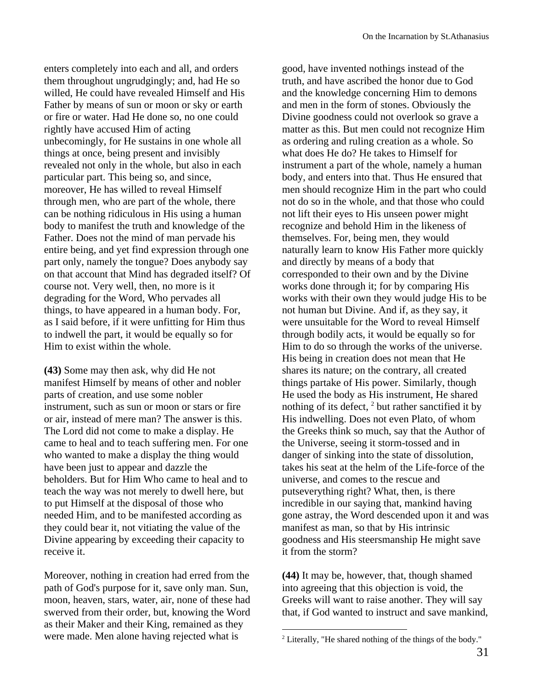enters completely into each and all, and orders them throughout ungrudgingly; and, had He so willed, He could have revealed Himself and His Father by means of sun or moon or sky or earth or fire or water. Had He done so, no one could rightly have accused Him of acting unbecomingly, for He sustains in one whole all things at once, being present and invisibly revealed not only in the whole, but also in each particular part. This being so, and since, moreover, He has willed to reveal Himself through men, who are part of the whole, there can be nothing ridiculous in His using a human body to manifest the truth and knowledge of the Father. Does not the mind of man pervade his entire being, and yet find expression through one part only, namely the tongue? Does anybody say on that account that Mind has degraded itself? Of course not. Very well, then, no more is it degrading for the Word, Who pervades all things, to have appeared in a human body. For, as I said before, if it were unfitting for Him thus to indwell the part, it would be equally so for Him to exist within the whole.

**(43)** Some may then ask, why did He not manifest Himself by means of other and nobler parts of creation, and use some nobler instrument, such as sun or moon or stars or fire or air, instead of mere man? The answer is this. The Lord did not come to make a display. He came to heal and to teach suffering men. For one who wanted to make a display the thing would have been just to appear and dazzle the beholders. But for Him Who came to heal and to teach the way was not merely to dwell here, but to put Himself at the disposal of those who needed Him, and to be manifested according as they could bear it, not vitiating the value of the Divine appearing by exceeding their capacity to receive it.

Moreover, nothing in creation had erred from the path of God's purpose for it, save only man. Sun, moon, heaven, stars, water, air, none of these had swerved from their order, but, knowing the Word as their Maker and their King, remained as they were made. Men alone having rejected what is

good, have invented nothings instead of the truth, and have ascribed the honor due to God and the knowledge concerning Him to demons and men in the form of stones. Obviously the Divine goodness could not overlook so grave a matter as this. But men could not recognize Him as ordering and ruling creation as a whole. So what does He do? He takes to Himself for instrument a part of the whole, namely a human body, and enters into that. Thus He ensured that men should recognize Him in the part who could not do so in the whole, and that those who could not lift their eyes to His unseen power might recognize and behold Him in the likeness of themselves. For, being men, they would naturally learn to know His Father more quickly and directly by means of a body that corresponded to their own and by the Divine works done through it; for by comparing His works with their own they would judge His to be not human but Divine. And if, as they say, it were unsuitable for the Word to reveal Himself through bodily acts, it would be equally so for Him to do so through the works of the universe. His being in creation does not mean that He shares its nature; on the contrary, all created things partake of His power. Similarly, though He used the body as His instrument, He shared nothing of its defect,  $2$  but rather sanctified it by His indwelling. Does not even Plato, of whom the Greeks think so much, say that the Author of the Universe, seeing it storm-tossed and in danger of sinking into the state of dissolution, takes his seat at the helm of the Life-force of the universe, and comes to the rescue and putseverything right? What, then, is there incredible in our saying that, mankind having gone astray, the Word descended upon it and was manifest as man, so that by His intrinsic goodness and His steersmanship He might save it from the storm?

**(44)** It may be, however, that, though shamed into agreeing that this objection is void, the Greeks will want to raise another. They will say that, if God wanted to instruct and save mankind,

 $2$  Literally, "He shared nothing of the things of the body."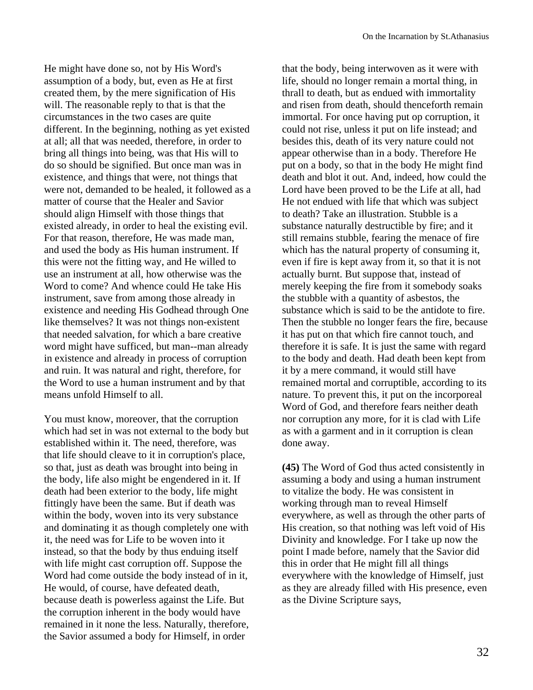He might have done so, not by His Word's assumption of a body, but, even as He at first created them, by the mere signification of His will. The reasonable reply to that is that the circumstances in the two cases are quite different. In the beginning, nothing as yet existed at all; all that was needed, therefore, in order to bring all things into being, was that His will to do so should be signified. But once man was in existence, and things that were, not things that were not, demanded to be healed, it followed as a matter of course that the Healer and Savior should align Himself with those things that existed already, in order to heal the existing evil. For that reason, therefore, He was made man, and used the body as His human instrument. If this were not the fitting way, and He willed to use an instrument at all, how otherwise was the Word to come? And whence could He take His instrument, save from among those already in existence and needing His Godhead through One like themselves? It was not things non-existent that needed salvation, for which a bare creative word might have sufficed, but man--man already in existence and already in process of corruption and ruin. It was natural and right, therefore, for the Word to use a human instrument and by that means unfold Himself to all.

You must know, moreover, that the corruption which had set in was not external to the body but established within it. The need, therefore, was that life should cleave to it in corruption's place, so that, just as death was brought into being in the body, life also might be engendered in it. If death had been exterior to the body, life might fittingly have been the same. But if death was within the body, woven into its very substance and dominating it as though completely one with it, the need was for Life to be woven into it instead, so that the body by thus enduing itself with life might cast corruption off. Suppose the Word had come outside the body instead of in it, He would, of course, have defeated death, because death is powerless against the Life. But the corruption inherent in the body would have remained in it none the less. Naturally, therefore, the Savior assumed a body for Himself, in order

that the body, being interwoven as it were with life, should no longer remain a mortal thing, in thrall to death, but as endued with immortality and risen from death, should thenceforth remain immortal. For once having put op corruption, it could not rise, unless it put on life instead; and besides this, death of its very nature could not appear otherwise than in a body. Therefore He put on a body, so that in the body He might find death and blot it out. And, indeed, how could the Lord have been proved to be the Life at all, had He not endued with life that which was subject to death? Take an illustration. Stubble is a substance naturally destructible by fire; and it still remains stubble, fearing the menace of fire which has the natural property of consuming it, even if fire is kept away from it, so that it is not actually burnt. But suppose that, instead of merely keeping the fire from it somebody soaks the stubble with a quantity of asbestos, the substance which is said to be the antidote to fire. Then the stubble no longer fears the fire, because it has put on that which fire cannot touch, and therefore it is safe. It is just the same with regard to the body and death. Had death been kept from it by a mere command, it would still have remained mortal and corruptible, according to its nature. To prevent this, it put on the incorporeal Word of God, and therefore fears neither death nor corruption any more, for it is clad with Life as with a garment and in it corruption is clean done away.

**(45)** The Word of God thus acted consistently in assuming a body and using a human instrument to vitalize the body. He was consistent in working through man to reveal Himself everywhere, as well as through the other parts of His creation, so that nothing was left void of His Divinity and knowledge. For I take up now the point I made before, namely that the Savior did this in order that He might fill all things everywhere with the knowledge of Himself, just as they are already filled with His presence, even as the Divine Scripture says,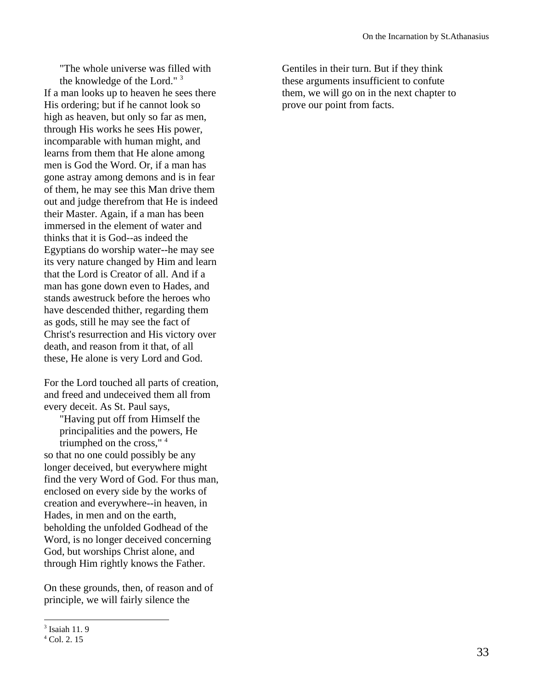"The whole universe was filled with the knowledge of the Lord." <sup>3</sup> If a man looks up to heaven he sees there His ordering; but if he cannot look so high as heaven, but only so far as men, through His works he sees His power, incomparable with human might, and learns from them that He alone among men is God the Word. Or, if a man has gone astray among demons and is in fear of them, he may see this Man drive them out and judge therefrom that He is indeed their Master. Again, if a man has been immersed in the element of water and thinks that it is God--as indeed the Egyptians do worship water--he may see its very nature changed by Him and learn that the Lord is Creator of all. And if a man has gone down even to Hades, and stands awestruck before the heroes who have descended thither, regarding them as gods, still he may see the fact of Christ's resurrection and His victory over death, and reason from it that, of all these, He alone is very Lord and God.

For the Lord touched all parts of creation, and freed and undeceived them all from every deceit. As St. Paul says,

"Having put off from Himself the principalities and the powers, He triumphed on the cross," <sup>4</sup>

so that no one could possibly be any longer deceived, but everywhere might find the very Word of God. For thus man, enclosed on every side by the works of creation and everywhere--in heaven, in Hades, in men and on the earth, beholding the unfolded Godhead of the Word, is no longer deceived concerning God, but worships Christ alone, and through Him rightly knows the Father.

On these grounds, then, of reason and of principle, we will fairly silence the

 $\overline{a}$ 

Gentiles in their turn. But if they think these arguments insufficient to confute them, we will go on in the next chapter to prove our point from facts.

<sup>3</sup> Isaiah 11. 9

<sup>4</sup> Col. 2. 15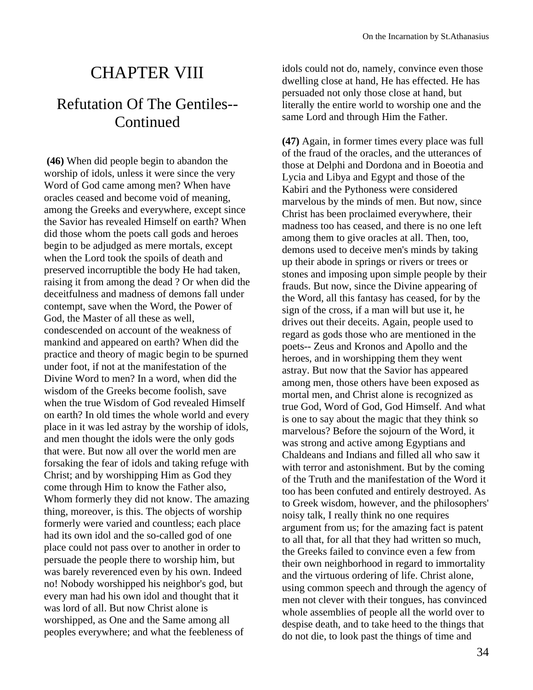## CHAPTER VIII

## Refutation Of The Gentiles-- Continued

 **(46)** When did people begin to abandon the worship of idols, unless it were since the very Word of God came among men? When have oracles ceased and become void of meaning, among the Greeks and everywhere, except since the Savior has revealed Himself on earth? When did those whom the poets call gods and heroes begin to be adjudged as mere mortals, except when the Lord took the spoils of death and preserved incorruptible the body He had taken, raising it from among the dead ? Or when did the deceitfulness and madness of demons fall under contempt, save when the Word, the Power of God, the Master of all these as well, condescended on account of the weakness of mankind and appeared on earth? When did the practice and theory of magic begin to be spurned under foot, if not at the manifestation of the Divine Word to men? In a word, when did the wisdom of the Greeks become foolish, save when the true Wisdom of God revealed Himself on earth? In old times the whole world and every place in it was led astray by the worship of idols, and men thought the idols were the only gods that were. But now all over the world men are forsaking the fear of idols and taking refuge with Christ; and by worshipping Him as God they come through Him to know the Father also, Whom formerly they did not know. The amazing thing, moreover, is this. The objects of worship formerly were varied and countless; each place had its own idol and the so-called god of one place could not pass over to another in order to persuade the people there to worship him, but was barely reverenced even by his own. Indeed no! Nobody worshipped his neighbor's god, but every man had his own idol and thought that it was lord of all. But now Christ alone is worshipped, as One and the Same among all peoples everywhere; and what the feebleness of

idols could not do, namely, convince even those dwelling close at hand, He has effected. He has persuaded not only those close at hand, but literally the entire world to worship one and the same Lord and through Him the Father.

**(47)** Again, in former times every place was full of the fraud of the oracles, and the utterances of those at Delphi and Dordona and in Boeotia and Lycia and Libya and Egypt and those of the Kabiri and the Pythoness were considered marvelous by the minds of men. But now, since Christ has been proclaimed everywhere, their madness too has ceased, and there is no one left among them to give oracles at all. Then, too, demons used to deceive men's minds by taking up their abode in springs or rivers or trees or stones and imposing upon simple people by their frauds. But now, since the Divine appearing of the Word, all this fantasy has ceased, for by the sign of the cross, if a man will but use it, he drives out their deceits. Again, people used to regard as gods those who are mentioned in the poets-- Zeus and Kronos and Apollo and the heroes, and in worshipping them they went astray. But now that the Savior has appeared among men, those others have been exposed as mortal men, and Christ alone is recognized as true God, Word of God, God Himself. And what is one to say about the magic that they think so marvelous? Before the sojourn of the Word, it was strong and active among Egyptians and Chaldeans and Indians and filled all who saw it with terror and astonishment. But by the coming of the Truth and the manifestation of the Word it too has been confuted and entirely destroyed. As to Greek wisdom, however, and the philosophers' noisy talk, I really think no one requires argument from us; for the amazing fact is patent to all that, for all that they had written so much, the Greeks failed to convince even a few from their own neighborhood in regard to immortality and the virtuous ordering of life. Christ alone, using common speech and through the agency of men not clever with their tongues, has convinced whole assemblies of people all the world over to despise death, and to take heed to the things that do not die, to look past the things of time and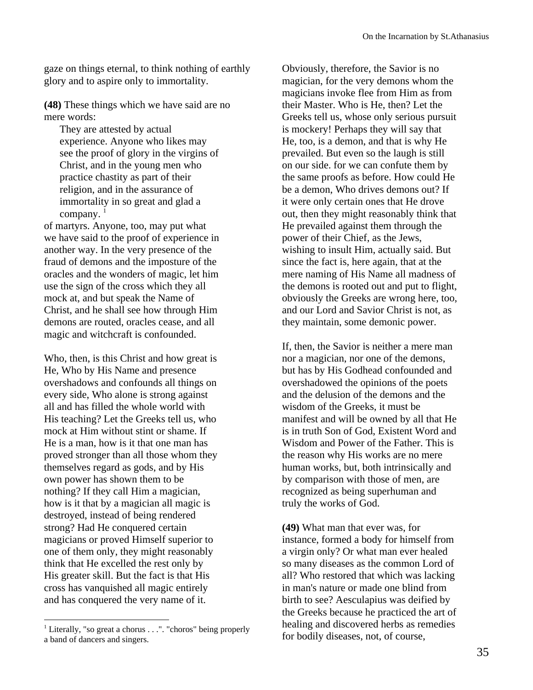gaze on things eternal, to think nothing of earthly glory and to aspire only to immortality.

**(48)** These things which we have said are no mere words:

They are attested by actual experience. Anyone who likes may see the proof of glory in the virgins of Christ, and in the young men who practice chastity as part of their religion, and in the assurance of immortality in so great and glad a company. $1$ 

of martyrs. Anyone, too, may put what we have said to the proof of experience in another way. In the very presence of the fraud of demons and the imposture of the oracles and the wonders of magic, let him use the sign of the cross which they all mock at, and but speak the Name of Christ, and he shall see how through Him demons are routed, oracles cease, and all magic and witchcraft is confounded.

Who, then, is this Christ and how great is He, Who by His Name and presence overshadows and confounds all things on every side, Who alone is strong against all and has filled the whole world with His teaching? Let the Greeks tell us, who mock at Him without stint or shame. If He is a man, how is it that one man has proved stronger than all those whom they themselves regard as gods, and by His own power has shown them to be nothing? If they call Him a magician, how is it that by a magician all magic is destroyed, instead of being rendered strong? Had He conquered certain magicians or proved Himself superior to one of them only, they might reasonably think that He excelled the rest only by His greater skill. But the fact is that His cross has vanquished all magic entirely and has conquered the very name of it.

Obviously, therefore, the Savior is no magician, for the very demons whom the magicians invoke flee from Him as from their Master. Who is He, then? Let the Greeks tell us, whose only serious pursuit is mockery! Perhaps they will say that He, too, is a demon, and that is why He prevailed. But even so the laugh is still on our side. for we can confute them by the same proofs as before. How could He be a demon, Who drives demons out? If it were only certain ones that He drove out, then they might reasonably think that He prevailed against them through the power of their Chief, as the Jews, wishing to insult Him, actually said. But since the fact is, here again, that at the mere naming of His Name all madness of the demons is rooted out and put to flight, obviously the Greeks are wrong here, too, and our Lord and Savior Christ is not, as they maintain, some demonic power.

If, then, the Savior is neither a mere man nor a magician, nor one of the demons, but has by His Godhead confounded and overshadowed the opinions of the poets and the delusion of the demons and the wisdom of the Greeks, it must be manifest and will be owned by all that He is in truth Son of God, Existent Word and Wisdom and Power of the Father. This is the reason why His works are no mere human works, but, both intrinsically and by comparison with those of men, are recognized as being superhuman and truly the works of God.

**(49)** What man that ever was, for instance, formed a body for himself from a virgin only? Or what man ever healed so many diseases as the common Lord of all? Who restored that which was lacking in man's nature or made one blind from birth to see? Aesculapius was deified by the Greeks because he practiced the art of healing and discovered herbs as remedies for bodily diseases, not, of course,

 $\overline{a}$ <sup>1</sup> Literally, "so great a chorus . . .". "choros" being properly a band of dancers and singers.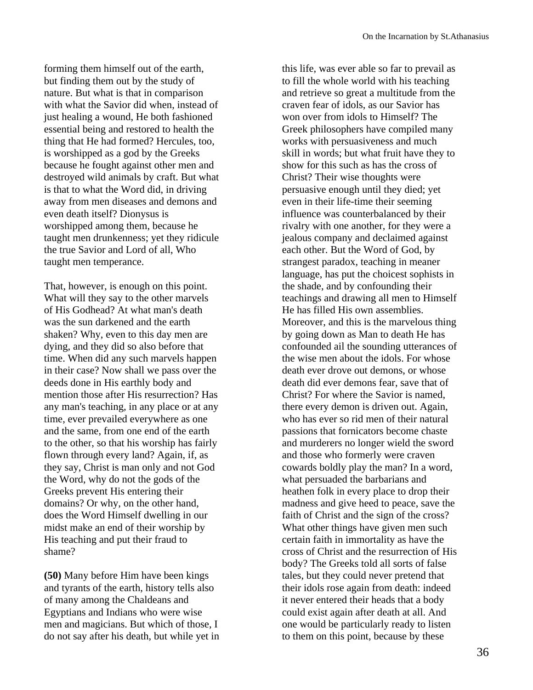forming them himself out of the earth, but finding them out by the study of nature. But what is that in comparison with what the Savior did when, instead of just healing a wound, He both fashioned essential being and restored to health the thing that He had formed? Hercules, too, is worshipped as a god by the Greeks because he fought against other men and destroyed wild animals by craft. But what is that to what the Word did, in driving away from men diseases and demons and even death itself? Dionysus is worshipped among them, because he taught men drunkenness; yet they ridicule the true Savior and Lord of all, Who taught men temperance.

That, however, is enough on this point. What will they say to the other marvels of His Godhead? At what man's death was the sun darkened and the earth shaken? Why, even to this day men are dying, and they did so also before that time. When did any such marvels happen in their case? Now shall we pass over the deeds done in His earthly body and mention those after His resurrection? Has any man's teaching, in any place or at any time, ever prevailed everywhere as one and the same, from one end of the earth to the other, so that his worship has fairly flown through every land? Again, if, as they say, Christ is man only and not God the Word, why do not the gods of the Greeks prevent His entering their domains? Or why, on the other hand, does the Word Himself dwelling in our midst make an end of their worship by His teaching and put their fraud to shame?

**(50)** Many before Him have been kings and tyrants of the earth, history tells also of many among the Chaldeans and Egyptians and Indians who were wise men and magicians. But which of those, I do not say after his death, but while yet in

this life, was ever able so far to prevail as to fill the whole world with his teaching and retrieve so great a multitude from the craven fear of idols, as our Savior has won over from idols to Himself? The Greek philosophers have compiled many works with persuasiveness and much skill in words; but what fruit have they to show for this such as has the cross of Christ? Their wise thoughts were persuasive enough until they died; yet even in their life-time their seeming influence was counterbalanced by their rivalry with one another, for they were a jealous company and declaimed against each other. But the Word of God, by strangest paradox, teaching in meaner language, has put the choicest sophists in the shade, and by confounding their teachings and drawing all men to Himself He has filled His own assemblies. Moreover, and this is the marvelous thing by going down as Man to death He has confounded ail the sounding utterances of the wise men about the idols. For whose death ever drove out demons, or whose death did ever demons fear, save that of Christ? For where the Savior is named, there every demon is driven out. Again, who has ever so rid men of their natural passions that fornicators become chaste and murderers no longer wield the sword and those who formerly were craven cowards boldly play the man? In a word, what persuaded the barbarians and heathen folk in every place to drop their madness and give heed to peace, save the faith of Christ and the sign of the cross? What other things have given men such certain faith in immortality as have the cross of Christ and the resurrection of His body? The Greeks told all sorts of false tales, but they could never pretend that their idols rose again from death: indeed it never entered their heads that a body could exist again after death at all. And one would be particularly ready to listen to them on this point, because by these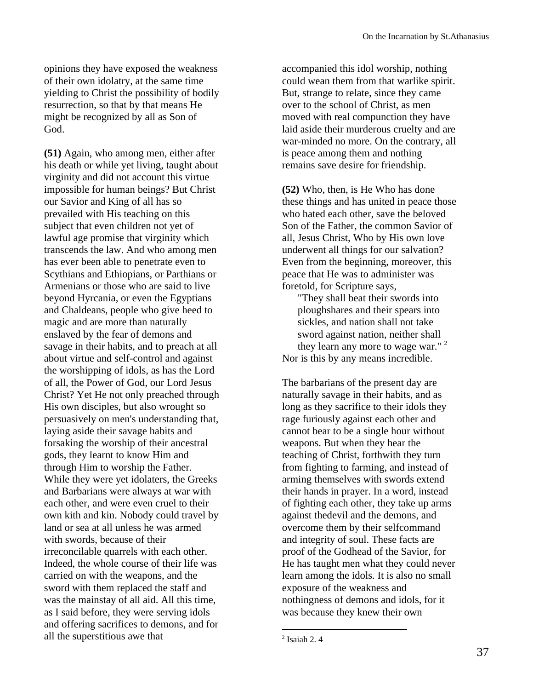opinions they have exposed the weakness of their own idolatry, at the same time yielding to Christ the possibility of bodily resurrection, so that by that means He might be recognized by all as Son of God.

**(51)** Again, who among men, either after his death or while yet living, taught about virginity and did not account this virtue impossible for human beings? But Christ our Savior and King of all has so prevailed with His teaching on this subject that even children not yet of lawful age promise that virginity which transcends the law. And who among men has ever been able to penetrate even to Scythians and Ethiopians, or Parthians or Armenians or those who are said to live beyond Hyrcania, or even the Egyptians and Chaldeans, people who give heed to magic and are more than naturally enslaved by the fear of demons and savage in their habits, and to preach at all about virtue and self-control and against the worshipping of idols, as has the Lord of all, the Power of God, our Lord Jesus Christ? Yet He not only preached through His own disciples, but also wrought so persuasively on men's understanding that, laying aside their savage habits and forsaking the worship of their ancestral gods, they learnt to know Him and through Him to worship the Father. While they were yet idolaters, the Greeks and Barbarians were always at war with each other, and were even cruel to their own kith and kin. Nobody could travel by land or sea at all unless he was armed with swords, because of their irreconcilable quarrels with each other. Indeed, the whole course of their life was carried on with the weapons, and the sword with them replaced the staff and was the mainstay of all aid. All this time, as I said before, they were serving idols and offering sacrifices to demons, and for all the superstitious awe that

accompanied this idol worship, nothing could wean them from that warlike spirit. But, strange to relate, since they came over to the school of Christ, as men moved with real compunction they have laid aside their murderous cruelty and are war-minded no more. On the contrary, all is peace among them and nothing remains save desire for friendship.

**(52)** Who, then, is He Who has done these things and has united in peace those who hated each other, save the beloved Son of the Father, the common Savior of all, Jesus Christ, Who by His own love underwent all things for our salvation? Even from the beginning, moreover, this peace that He was to administer was foretold, for Scripture says,

"They shall beat their swords into ploughshares and their spears into sickles, and nation shall not take sword against nation, neither shall they learn any more to wage war."<sup>2</sup> Nor is this by any means incredible.

The barbarians of the present day are naturally savage in their habits, and as long as they sacrifice to their idols they rage furiously against each other and cannot bear to be a single hour without weapons. But when they hear the teaching of Christ, forthwith they turn from fighting to farming, and instead of arming themselves with swords extend their hands in prayer. In a word, instead of fighting each other, they take up arms against thedevil and the demons, and overcome them by their selfcommand and integrity of soul. These facts are proof of the Godhead of the Savior, for He has taught men what they could never learn among the idols. It is also no small exposure of the weakness and nothingness of demons and idols, for it was because they knew their own

 $<sup>2</sup>$  Isaiah 2.4</sup>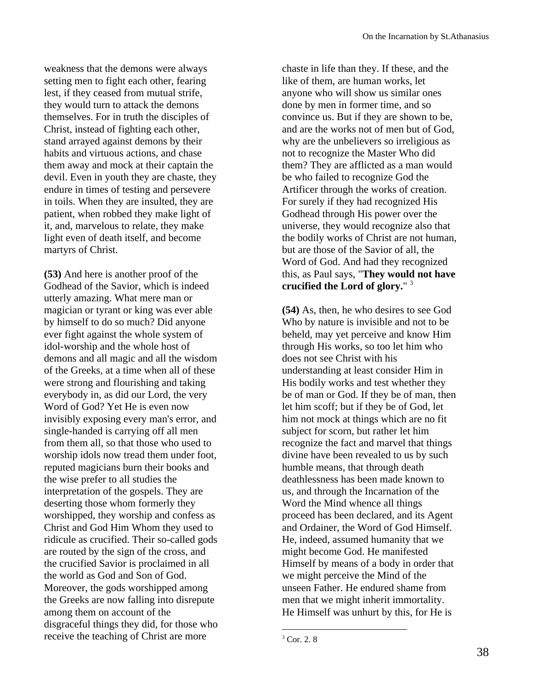weakness that the demons were always setting men to fight each other, fearing lest, if they ceased from mutual strife, they would turn to attack the demons themselves. For in truth the disciples of Christ, instead of fighting each other, stand arrayed against demons by their habits and virtuous actions, and chase them away and mock at their captain the devil. Even in youth they are chaste, they endure in times of testing and persevere in toils. When they are insulted, they are patient, when robbed they make light of it, and, marvelous to relate, they make light even of death itself, and become martyrs of Christ.

**(53)** And here is another proof of the Godhead of the Savior, which is indeed utterly amazing. What mere man or magician or tyrant or king was ever able by himself to do so much? Did anyone ever fight against the whole system of idol-worship and the whole host of demons and all magic and all the wisdom of the Greeks, at a time when all of these were strong and flourishing and taking everybody in, as did our Lord, the very Word of God? Yet He is even now invisibly exposing every man's error, and single-handed is carrying off all men from them all, so that those who used to worship idols now tread them under foot, reputed magicians burn their books and the wise prefer to all studies the interpretation of the gospels. They are deserting those whom formerly they worshipped, they worship and confess as Christ and God Him Whom they used to ridicule as crucified. Their so-called gods are routed by the sign of the cross, and the crucified Savior is proclaimed in all the world as God and Son of God. Moreover, the gods worshipped among the Greeks are now falling into disrepute among them on account of the disgraceful things they did, for those who receive the teaching of Christ are more

chaste in life than they. If these, and the like of them, are human works, let anyone who will show us similar ones done by men in former time, and so convince us. But if they are shown to be, and are the works not of men but of God, why are the unbelievers so irreligious as not to recognize the Master Who did them? They are afflicted as a man would be who failed to recognize God the Artificer through the works of creation. For surely if they had recognized His Godhead through His power over the universe, they would recognize also that the bodily works of Christ are not human, but are those of the Savior of all, the Word of God. And had they recognized this, as Paul says, "**They would not have crucified the Lord of glory.**" <sup>3</sup>

**(54)** As, then, he who desires to see God Who by nature is invisible and not to be beheld, may yet perceive and know Him through His works, so too let him who does not see Christ with his understanding at least consider Him in His bodily works and test whether they be of man or God. If they be of man, then let him scoff; but if they be of God, let him not mock at things which are no fit subject for scorn, but rather let him recognize the fact and marvel that things divine have been revealed to us by such humble means, that through death deathlessness has been made known to us, and through the Incarnation of the Word the Mind whence all things proceed has been declared, and its Agent and Ordainer, the Word of God Himself. He, indeed, assumed humanity that we might become God. He manifested Himself by means of a body in order that we might perceive the Mind of the unseen Father. He endured shame from men that we might inherit immortality. He Himself was unhurt by this, for He is

 $3$  Cor. 2.8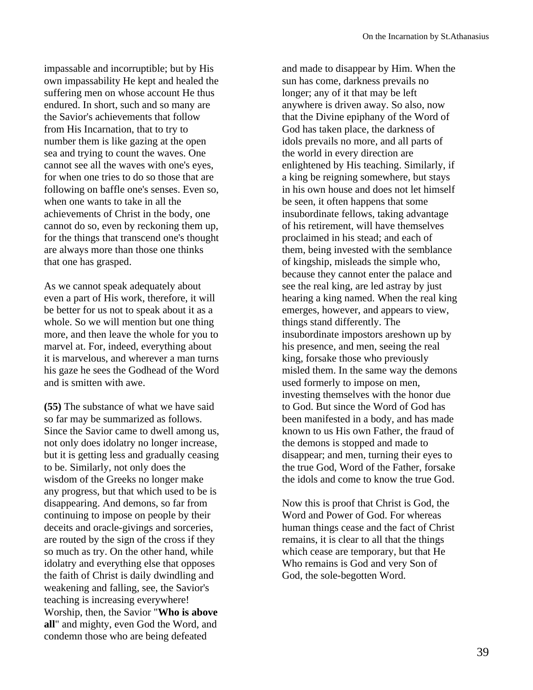impassable and incorruptible; but by His own impassability He kept and healed the suffering men on whose account He thus endured. In short, such and so many are the Savior's achievements that follow from His Incarnation, that to try to number them is like gazing at the open sea and trying to count the waves. One cannot see all the waves with one's eyes, for when one tries to do so those that are following on baffle one's senses. Even so, when one wants to take in all the achievements of Christ in the body, one cannot do so, even by reckoning them up, for the things that transcend one's thought are always more than those one thinks that one has grasped.

As we cannot speak adequately about even a part of His work, therefore, it will be better for us not to speak about it as a whole. So we will mention but one thing more, and then leave the whole for you to marvel at. For, indeed, everything about it is marvelous, and wherever a man turns his gaze he sees the Godhead of the Word and is smitten with awe.

**(55)** The substance of what we have said so far may be summarized as follows. Since the Savior came to dwell among us, not only does idolatry no longer increase, but it is getting less and gradually ceasing to be. Similarly, not only does the wisdom of the Greeks no longer make any progress, but that which used to be is disappearing. And demons, so far from continuing to impose on people by their deceits and oracle-givings and sorceries, are routed by the sign of the cross if they so much as try. On the other hand, while idolatry and everything else that opposes the faith of Christ is daily dwindling and weakening and falling, see, the Savior's teaching is increasing everywhere! Worship, then, the Savior "**Who is above all**" and mighty, even God the Word, and condemn those who are being defeated

and made to disappear by Him. When the sun has come, darkness prevails no longer; any of it that may be left anywhere is driven away. So also, now that the Divine epiphany of the Word of God has taken place, the darkness of idols prevails no more, and all parts of the world in every direction are enlightened by His teaching. Similarly, if a king be reigning somewhere, but stays in his own house and does not let himself be seen, it often happens that some insubordinate fellows, taking advantage of his retirement, will have themselves proclaimed in his stead; and each of them, being invested with the semblance of kingship, misleads the simple who, because they cannot enter the palace and see the real king, are led astray by just hearing a king named. When the real king emerges, however, and appears to view, things stand differently. The insubordinate impostors areshown up by his presence, and men, seeing the real king, forsake those who previously misled them. In the same way the demons used formerly to impose on men, investing themselves with the honor due to God. But since the Word of God has been manifested in a body, and has made known to us His own Father, the fraud of the demons is stopped and made to disappear; and men, turning their eyes to the true God, Word of the Father, forsake the idols and come to know the true God.

Now this is proof that Christ is God, the Word and Power of God. For whereas human things cease and the fact of Christ remains, it is clear to all that the things which cease are temporary, but that He Who remains is God and very Son of God, the sole-begotten Word.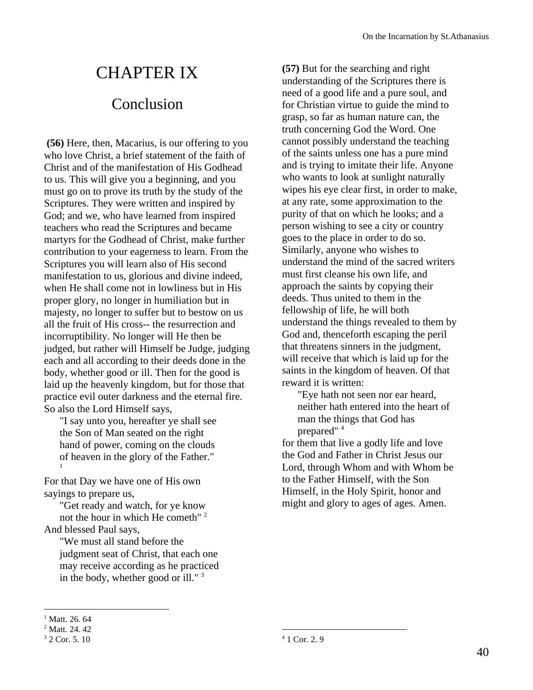## CHAPTER IX

#### Conclusion

 **(56)** Here, then, Macarius, is our offering to you who love Christ, a brief statement of the faith of Christ and of the manifestation of His Godhead to us. This will give you a beginning, and you must go on to prove its truth by the study of the Scriptures. They were written and inspired by God; and we, who have learned from inspired teachers who read the Scriptures and became martyrs for the Godhead of Christ, make further contribution to your eagerness to learn. From the Scriptures you will learn also of His second manifestation to us, glorious and divine indeed, when He shall come not in lowliness but in His proper glory, no longer in humiliation but in majesty, no longer to suffer but to bestow on us all the fruit of His cross-- the resurrection and incorruptibility. No longer will He then be judged, but rather will Himself be Judge, judging each and all according to their deeds done in the body, whether good or ill. Then for the good is laid up the heavenly kingdom, but for those that practice evil outer darkness and the eternal fire. So also the Lord Himself says,

"I say unto you, hereafter ye shall see the Son of Man seated on the right hand of power, coming on the clouds of heaven in the glory of the Father." 1

For that Day we have one of His own sayings to prepare us,

"Get ready and watch, for ye know not the hour in which He cometh" <sup>2</sup>

And blessed Paul says,

"We must all stand before the judgment seat of Christ, that each one may receive according as he practiced in the body, whether good or ill." <sup>3</sup>

**(57)** But for the searching and right understanding of the Scriptures there is need of a good life and a pure soul, and for Christian virtue to guide the mind to grasp, so far as human nature can, the truth concerning God the Word. One cannot possibly understand the teaching of the saints unless one has a pure mind and is trying to imitate their life. Anyone who wants to look at sunlight naturally wipes his eye clear first, in order to make, at any rate, some approximation to the purity of that on which he looks; and a person wishing to see a city or country goes to the place in order to do so. Similarly, anyone who wishes to understand the mind of the sacred writers must first cleanse his own life, and approach the saints by copying their deeds. Thus united to them in the fellowship of life, he will both understand the things revealed to them by God and, thenceforth escaping the peril that threatens sinners in the judgment, will receive that which is laid up for the saints in the kingdom of heaven. Of that reward it is written:

"Eye hath not seen nor ear heard, neither hath entered into the heart of man the things that God has prepared" <sup>4</sup>

for them that live a godly life and love the God and Father in Christ Jesus our Lord, through Whom and with Whom be to the Father Himself, with the Son Himself, in the Holy Spirit, honor and might and glory to ages of ages. Amen.

 $\overline{a}$ 

 $<sup>1</sup>$  Matt. 26. 64</sup>

<sup>&</sup>lt;sup>2</sup> Matt. 24. 42

<sup>3</sup> 2 Cor. 5. 10

<sup>4</sup> 1 Cor. 2. 9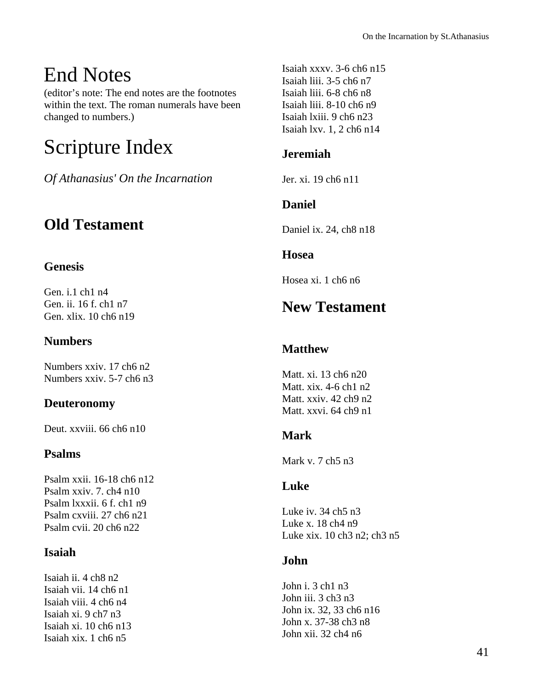## End Notes

(editor's note: The end notes are the footnotes within the text. The roman numerals have been changed to numbers.)

## Scripture Index

*Of Athanasius' On the Incarnation*

## **Old Testament**

#### **Genesis**

Gen. i.1 ch1 n4 Gen. ii. 16 f. ch1 n7 Gen. xlix. 10 ch6 n19

#### **Numbers**

Numbers xxiv. 17 ch6 n2 Numbers xxiv. 5-7 ch6 n3

#### **Deuteronomy**

Deut. xxviii. 66 ch6 n10

#### **Psalms**

Psalm xxii. 16-18 ch6 n12 Psalm xxiv. 7. ch4 n10 Psalm lxxxii. 6 f. ch1 n9 Psalm cxviii. 27 ch6 n21 Psalm cvii. 20 ch6 n22

#### **Isaiah**

Isaiah ii. 4 ch8 n2 Isaiah vii. 14 ch6 n1 Isaiah viii. 4 ch6 n4 Isaiah xi. 9 ch7 n3 Isaiah xi. 10 ch6 n13 Isaiah xix. 1 ch6 n5

Isaiah xxxv. 3-6 ch6 n15 Isaiah liii. 3-5 ch6 n7 Isaiah liii. 6-8 ch6 n8 Isaiah liii. 8-10 ch6 n9 Isaiah lxiii. 9 ch6 n23 Isaiah lxv. 1, 2 ch6 n14

#### **Jeremiah**

Jer. xi. 19 ch6 n11

#### **Daniel**

Daniel ix. 24, ch8 n18

#### **Hosea**

Hosea xi. 1 ch6 n6

## **New Testament**

#### **Matthew**

Matt. xi. 13 ch6 n20 Matt. xix. 4-6 ch1 n2 Matt. xxiv. 42 ch9 n2 Matt. xxvi. 64 ch9 n1

#### **Mark**

Mark v. 7 ch5 n3

#### **Luke**

Luke iv. 34 ch5 n3 Luke x. 18 ch4 n9 Luke xix. 10 ch3 n2; ch3 n5

#### **John**

John i. 3 ch1 n3 John iii. 3 ch3 n3 John ix. 32, 33 ch6 n16 John x. 37-38 ch3 n8 John xii. 32 ch4 n6